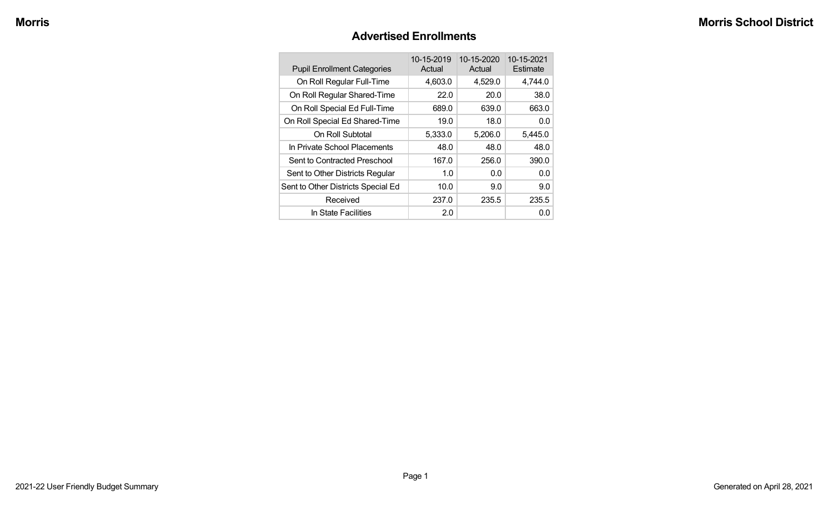#### **Advertised Enrollments**

| <b>Pupil Enrollment Categories</b> | 10-15-2019<br>Actual | 10-15-2020<br>Actual | 10-15-2021<br>Estimate |
|------------------------------------|----------------------|----------------------|------------------------|
| On Roll Regular Full-Time          | 4,603.0              | 4,529.0              | 4,744.0                |
| On Roll Regular Shared-Time        | 22.0                 | 20.0                 | 38.0                   |
| On Roll Special Ed Full-Time       | 689.0                | 639.0                | 663.0                  |
| On Roll Special Ed Shared-Time     | 19.0                 | 18.0                 | 0.0                    |
| On Roll Subtotal                   | 5,333.0              | 5,206.0              | 5,445.0                |
| In Private School Placements       | 48.0                 | 48.0                 | 48.0                   |
| Sent to Contracted Preschool       | 167.0                | 256.0                | 390.0                  |
| Sent to Other Districts Regular    | 1.0                  | 0.0                  | 0.0                    |
| Sent to Other Districts Special Ed | 10.0                 | 9.0                  | 9.0                    |
| Received                           | 237.0                | 235.5                | 235.5                  |
| In State Facilities                | 2.0                  |                      | 0.0                    |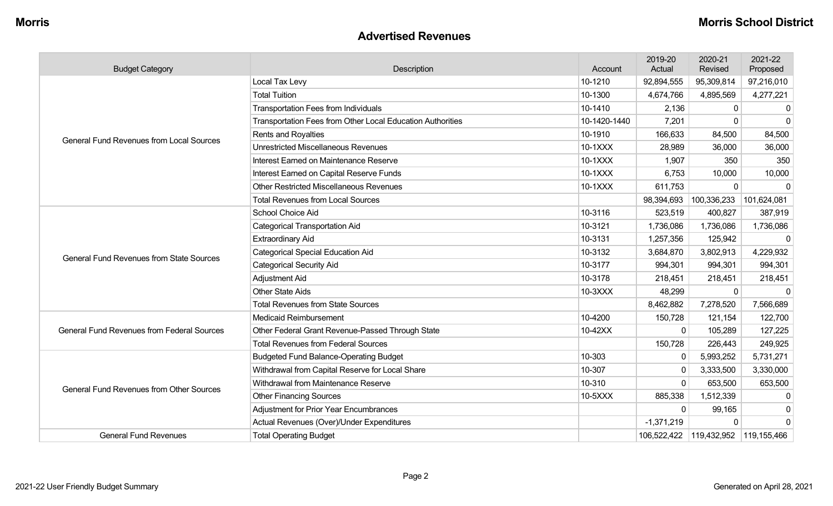#### **Advertised Revenues**

| <b>Budget Category</b>                            | Description                                                | Account      | 2019-20<br>Actual | 2020-21<br>Revised | 2021-22<br>Proposed |
|---------------------------------------------------|------------------------------------------------------------|--------------|-------------------|--------------------|---------------------|
|                                                   | Local Tax Levy                                             | 10-1210      | 92,894,555        | 95,309,814         | 97,216,010          |
|                                                   | <b>Total Tuition</b>                                       | 10-1300      | 4,674,766         | 4,895,569          | 4,277,221           |
|                                                   | <b>Transportation Fees from Individuals</b>                | 10-1410      | 2,136             | $\mathbf{0}$       | $\Omega$            |
|                                                   | Transportation Fees from Other Local Education Authorities | 10-1420-1440 | 7,201             | 0                  | $\cap$              |
| <b>General Fund Revenues from Local Sources</b>   | Rents and Royalties                                        | 10-1910      | 166,633           | 84,500             | 84,500              |
|                                                   | <b>Unrestricted Miscellaneous Revenues</b>                 | 10-1XXX      | 28,989            | 36,000             | 36,000              |
|                                                   | Interest Earned on Maintenance Reserve                     | 10-1XXX      | 1,907             | 350                | 350                 |
|                                                   | Interest Earned on Capital Reserve Funds                   | 10-1XXX      | 6,753             | 10,000             | 10,000              |
|                                                   | <b>Other Restricted Miscellaneous Revenues</b>             | 10-1XXX      | 611,753           | 0                  | $\Omega$            |
|                                                   | <b>Total Revenues from Local Sources</b>                   |              | 98,394,693        | 100,336,233        | 101,624,081         |
|                                                   | School Choice Aid                                          | 10-3116      | 523,519           | 400,827            | 387,919             |
|                                                   | <b>Categorical Transportation Aid</b>                      | 10-3121      | 1,736,086         | 1,736,086          | 1,736,086           |
|                                                   | <b>Extraordinary Aid</b>                                   | 10-3131      | 1,257,356         | 125,942            | $\mathbf 0$         |
| <b>General Fund Revenues from State Sources</b>   | <b>Categorical Special Education Aid</b>                   | 10-3132      | 3,684,870         | 3,802,913          | 4,229,932           |
|                                                   | <b>Categorical Security Aid</b>                            | 10-3177      | 994,301           | 994,301            | 994,301             |
|                                                   | Adjustment Aid                                             | 10-3178      | 218,451           | 218,451            | 218,451             |
|                                                   | <b>Other State Aids</b>                                    | 10-3XXX      | 48,299            | 0                  | $\mathbf 0$         |
|                                                   | <b>Total Revenues from State Sources</b>                   |              | 8,462,882         | 7,278,520          | 7,566,689           |
|                                                   | <b>Medicaid Reimbursement</b>                              | 10-4200      | 150,728           | 121,154            | 122,700             |
| <b>General Fund Revenues from Federal Sources</b> | Other Federal Grant Revenue-Passed Through State           | 10-42XX      | $\Omega$          | 105,289            | 127,225             |
|                                                   | <b>Total Revenues from Federal Sources</b>                 |              | 150,728           | 226,443            | 249,925             |
|                                                   | <b>Budgeted Fund Balance-Operating Budget</b>              | 10-303       | $\Omega$          | 5,993,252          | 5,731,271           |
|                                                   | Withdrawal from Capital Reserve for Local Share            | 10-307       |                   | 3,333,500          | 3,330,000           |
| <b>General Fund Revenues from Other Sources</b>   | Withdrawal from Maintenance Reserve                        | 10-310       | $\Omega$          | 653,500            | 653,500             |
|                                                   | <b>Other Financing Sources</b>                             | 10-5XXX      | 885,338           | 1,512,339          | $\Omega$            |
|                                                   | <b>Adjustment for Prior Year Encumbrances</b>              |              | $\mathbf{0}$      | 99,165             | 0                   |
|                                                   | Actual Revenues (Over)/Under Expenditures                  |              | $-1,371,219$      | 0                  | $\Omega$            |
| <b>General Fund Revenues</b>                      | <b>Total Operating Budget</b>                              |              |                   |                    |                     |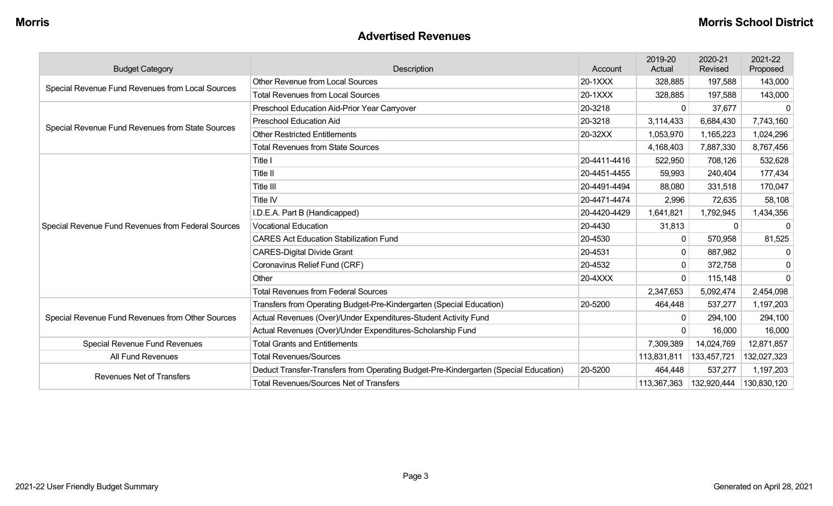#### **Advertised Revenues**

| <b>Budget Category</b>                             | Description                                                                          | Account      | 2019-20<br>Actual | 2020-21<br>Revised | 2021-22<br>Proposed |
|----------------------------------------------------|--------------------------------------------------------------------------------------|--------------|-------------------|--------------------|---------------------|
| Special Revenue Fund Revenues from Local Sources   | <b>Other Revenue from Local Sources</b>                                              | 20-1XXX      | 328,885           | 197,588            | 143,000             |
|                                                    | <b>Total Revenues from Local Sources</b>                                             | 20-1XXX      | 328,885           | 197,588            | 143,000             |
|                                                    | Preschool Education Aid-Prior Year Carryover                                         | 20-3218      | 0                 | 37,677             | $\Box$              |
| Special Revenue Fund Revenues from State Sources   | <b>Preschool Education Aid</b>                                                       | 20-3218      | 3,114,433         | 6,684,430          | 7,743,160           |
|                                                    | <b>Other Restricted Entitlements</b>                                                 | 20-32XX      | 1,053,970         | 1,165,223          | 1,024,296           |
|                                                    | <b>Total Revenues from State Sources</b>                                             |              | 4,168,403         | 7,887,330          | 8,767,456           |
|                                                    | Title I                                                                              | 20-4411-4416 | 522,950           | 708,126            | 532,628             |
|                                                    | Title II                                                                             | 20-4451-4455 | 59,993            | 240,404            | 177,434             |
|                                                    | Title III                                                                            | 20-4491-4494 | 88,080            | 331,518            | 170,047             |
|                                                    | <b>Title IV</b>                                                                      | 20-4471-4474 | 2,996             | 72,635             | 58,108              |
|                                                    | I.D.E.A. Part B (Handicapped)                                                        | 20-4420-4429 | 1,641,821         | 1,792,945          | 1,434,356           |
| Special Revenue Fund Revenues from Federal Sources | <b>Vocational Education</b>                                                          | 20-4430      | 31,813            | 0                  | $\Omega$            |
|                                                    | <b>CARES Act Education Stabilization Fund</b>                                        | 20-4530      | 0                 | 570,958            | 81,525              |
|                                                    | <b>CARES-Digital Divide Grant</b>                                                    | 20-4531      | 0                 | 887,982            | -0                  |
|                                                    | Coronavirus Relief Fund (CRF)                                                        | 20-4532      | $\Omega$          | 372,758            | 0                   |
|                                                    | Other                                                                                | 20-4XXX      | $\Omega$          | 115,148            | $\Omega$            |
|                                                    | <b>Total Revenues from Federal Sources</b>                                           |              | 2,347,653         | 5,092,474          | 2,454,098           |
|                                                    | Transfers from Operating Budget-Pre-Kindergarten (Special Education)                 | 20-5200      | 464,448           | 537,277            | 1,197,203           |
| Special Revenue Fund Revenues from Other Sources   | Actual Revenues (Over)/Under Expenditures-Student Activity Fund                      |              |                   | 294,100            | 294,100             |
|                                                    | Actual Revenues (Over)/Under Expenditures-Scholarship Fund                           |              |                   | 16,000             | 16,000              |
| <b>Special Revenue Fund Revenues</b>               | <b>Total Grants and Entitlements</b>                                                 |              | 7,309,389         | 14,024,769         | 12,871,857          |
| All Fund Revenues                                  | <b>Total Revenues/Sources</b>                                                        |              | 113,831,811       | 133,457,721        | 132,027,323         |
| <b>Revenues Net of Transfers</b>                   | Deduct Transfer-Transfers from Operating Budget-Pre-Kindergarten (Special Education) | 20-5200      | 464,448           | 537,277            | 1,197,203           |
|                                                    | <b>Total Revenues/Sources Net of Transfers</b>                                       |              | 113,367,363       | 132,920,444        | 130,830,120         |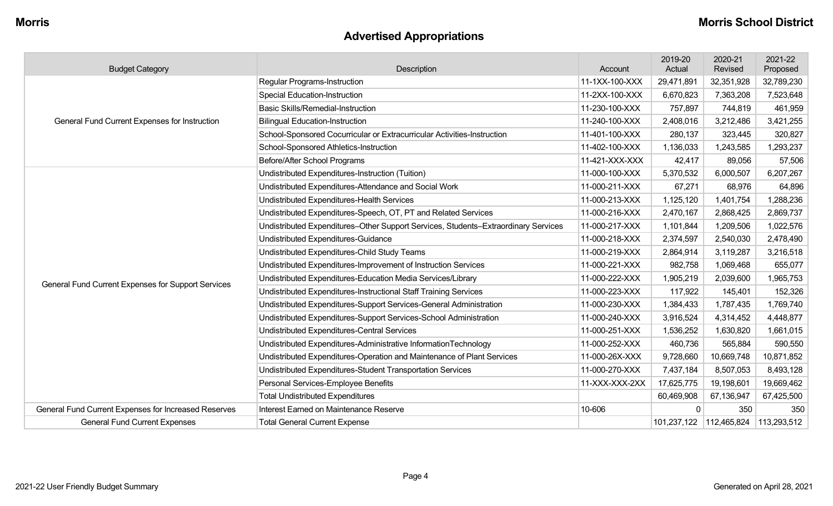# **Advertised Appropriations**

| <b>Budget Category</b>                               | Description                                                                        | Account        | 2019-20<br>Actual | 2020-21<br>Revised | 2021-22<br>Proposed |
|------------------------------------------------------|------------------------------------------------------------------------------------|----------------|-------------------|--------------------|---------------------|
|                                                      | <b>Regular Programs-Instruction</b>                                                | 11-1XX-100-XXX | 29,471,891        | 32,351,928         | 32,789,230          |
|                                                      | <b>Special Education-Instruction</b>                                               | 11-2XX-100-XXX | 6,670,823         | 7,363,208          | 7,523,648           |
|                                                      | <b>Basic Skills/Remedial-Instruction</b>                                           | 11-230-100-XXX | 757,897           | 744,819            | 461,959             |
| General Fund Current Expenses for Instruction        | <b>Bilingual Education-Instruction</b>                                             | 11-240-100-XXX | 2,408,016         | 3,212,486          | 3,421,255           |
|                                                      | School-Sponsored Cocurricular or Extracurricular Activities-Instruction            | 11-401-100-XXX | 280,137           | 323,445            | 320,827             |
|                                                      | School-Sponsored Athletics-Instruction                                             | 11-402-100-XXX | 1,136,033         | 1,243,585          | 1,293,237           |
|                                                      | Before/After School Programs                                                       | 11-421-XXX-XXX | 42,417            | 89,056             | 57,506              |
|                                                      | Undistributed Expenditures-Instruction (Tuition)                                   | 11-000-100-XXX | 5,370,532         | 6,000,507          | 6,207,267           |
|                                                      | Undistributed Expenditures-Attendance and Social Work                              | 11-000-211-XXX | 67,271            | 68,976             | 64,896              |
|                                                      | Undistributed Expenditures-Health Services                                         | 11-000-213-XXX | 1,125,120         | 1,401,754          | 1,288,236           |
|                                                      | Undistributed Expenditures-Speech, OT, PT and Related Services                     | 11-000-216-XXX | 2,470,167         | 2,868,425          | 2,869,737           |
|                                                      | Undistributed Expenditures-Other Support Services, Students-Extraordinary Services | 11-000-217-XXX | 1,101,844         | 1,209,506          | 1,022,576           |
|                                                      | Undistributed Expenditures-Guidance                                                | 11-000-218-XXX | 2,374,597         | 2,540,030          | 2,478,490           |
|                                                      | Undistributed Expenditures-Child Study Teams                                       | 11-000-219-XXX | 2,864,914         | 3,119,287          | 3,216,518           |
|                                                      | Undistributed Expenditures-Improvement of Instruction Services                     | 11-000-221-XXX | 982,758           | 1,069,468          | 655,077             |
| General Fund Current Expenses for Support Services   | Undistributed Expenditures-Education Media Services/Library                        | 11-000-222-XXX | 1,905,219         | 2,039,600          | 1,965,753           |
|                                                      | Undistributed Expenditures-Instructional Staff Training Services                   | 11-000-223-XXX | 117,922           | 145,401            | 152,326             |
|                                                      | Undistributed Expenditures-Support Services-General Administration                 | 11-000-230-XXX | 1,384,433         | 1,787,435          | 1,769,740           |
|                                                      | Undistributed Expenditures-Support Services-School Administration                  | 11-000-240-XXX | 3,916,524         | 4,314,452          | 4,448,877           |
|                                                      | Undistributed Expenditures-Central Services                                        | 11-000-251-XXX | 1,536,252         | 1,630,820          | 1,661,015           |
|                                                      | Undistributed Expenditures-Administrative InformationTechnology                    | 11-000-252-XXX | 460,736           | 565,884            | 590,550             |
|                                                      | Undistributed Expenditures-Operation and Maintenance of Plant Services             | 11-000-26X-XXX | 9,728,660         | 10,669,748         | 10,871,852          |
|                                                      | Undistributed Expenditures-Student Transportation Services                         | 11-000-270-XXX | 7,437,184         | 8,507,053          | 8,493,128           |
|                                                      | Personal Services-Employee Benefits                                                | 11-XXX-XXX-2XX | 17,625,775        | 19,198,601         | 19,669,462          |
|                                                      | <b>Total Undistributed Expenditures</b>                                            |                | 60,469,908        | 67,136,947         | 67,425,500          |
| General Fund Current Expenses for Increased Reserves | Interest Earned on Maintenance Reserve                                             | 10-606         | 0                 | 350                | 350                 |
| <b>General Fund Current Expenses</b>                 | <b>Total General Current Expense</b>                                               |                | 101,237,122       | 112,465,824        | 113,293,512         |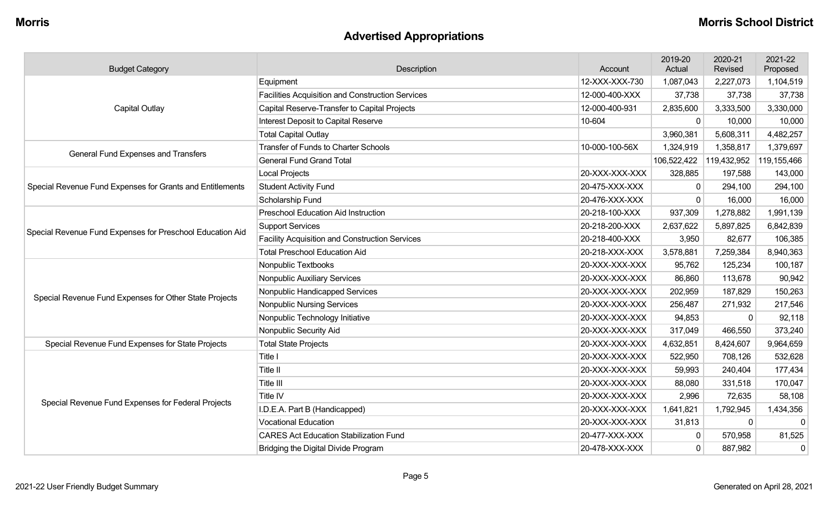# **Advertised Appropriations**

| <b>Budget Category</b>                                    | Description                                             | Account        | 2019-20<br>Actual | 2020-21<br>Revised | 2021-22<br>Proposed |
|-----------------------------------------------------------|---------------------------------------------------------|----------------|-------------------|--------------------|---------------------|
|                                                           | Equipment                                               | 12-XXX-XXX-730 | 1,087,043         | 2,227,073          | 1,104,519           |
|                                                           | <b>Facilities Acquisition and Construction Services</b> | 12-000-400-XXX | 37,738            | 37,738             | 37,738              |
| <b>Capital Outlay</b>                                     | Capital Reserve-Transfer to Capital Projects            | 12-000-400-931 | 2,835,600         | 3,333,500          | 3,330,000           |
|                                                           | Interest Deposit to Capital Reserve                     | 10-604         | $\mathbf 0$       | 10,000             | 10,000              |
|                                                           | <b>Total Capital Outlay</b>                             |                | 3,960,381         | 5,608,311          | 4,482,257           |
| <b>General Fund Expenses and Transfers</b>                | <b>Transfer of Funds to Charter Schools</b>             | 10-000-100-56X | 1,324,919         | 1,358,817          | 1,379,697           |
|                                                           | <b>General Fund Grand Total</b>                         |                | 106,522,422       | 119,432,952        | 119,155,466         |
|                                                           | <b>Local Projects</b>                                   | 20-XXX-XXX-XXX | 328,885           | 197,588            | 143,000             |
| Special Revenue Fund Expenses for Grants and Entitlements | <b>Student Activity Fund</b>                            | 20-475-XXX-XXX | $\mathbf 0$       | 294,100            | 294,100             |
|                                                           | Scholarship Fund                                        | 20-476-XXX-XXX | $\Omega$          | 16,000             | 16,000              |
|                                                           | <b>Preschool Education Aid Instruction</b>              | 20-218-100-XXX | 937,309           | 1,278,882          | 1,991,139           |
| Special Revenue Fund Expenses for Preschool Education Aid | <b>Support Services</b>                                 | 20-218-200-XXX | 2,637,622         | 5,897,825          | 6,842,839           |
|                                                           | Facility Acquisition and Construction Services          | 20-218-400-XXX | 3,950             | 82,677             | 106,385             |
|                                                           | <b>Total Preschool Education Aid</b>                    | 20-218-XXX-XXX | 3,578,881         | 7,259,384          | 8,940,363           |
|                                                           | Nonpublic Textbooks                                     | 20-XXX-XXX-XXX | 95,762            | 125,234            | 100,187             |
|                                                           | Nonpublic Auxiliary Services                            | 20-XXX-XXX-XXX | 86,860            | 113,678            | 90,942              |
| Special Revenue Fund Expenses for Other State Projects    | Nonpublic Handicapped Services                          | 20-XXX-XXX-XXX | 202,959           | 187,829            | 150,263             |
|                                                           | <b>Nonpublic Nursing Services</b>                       | 20-XXX-XXX-XXX | 256,487           | 271,932            | 217,546             |
|                                                           | Nonpublic Technology Initiative                         | 20-XXX-XXX-XXX | 94,853            | $\Omega$           | 92,118              |
|                                                           | Nonpublic Security Aid                                  | 20-XXX-XXX-XXX | 317,049           | 466,550            | 373,240             |
| Special Revenue Fund Expenses for State Projects          | <b>Total State Projects</b>                             | 20-XXX-XXX-XXX | 4,632,851         | 8,424,607          | 9,964,659           |
|                                                           | Title I                                                 | 20-XXX-XXX-XXX | 522,950           | 708,126            | 532,628             |
|                                                           | <b>Title II</b>                                         | 20-XXX-XXX-XXX | 59,993            | 240,404            | 177,434             |
|                                                           | Title III                                               | 20-XXX-XXX-XXX | 88,080            | 331,518            | 170,047             |
| Special Revenue Fund Expenses for Federal Projects        | Title IV                                                | 20-XXX-XXX-XXX | 2,996             | 72,635             | 58,108              |
|                                                           | I.D.E.A. Part B (Handicapped)                           | 20-XXX-XXX-XXX | 1,641,821         | 1,792,945          | 1,434,356           |
|                                                           | <b>Vocational Education</b>                             | 20-XXX-XXX-XXX | 31,813            | $\mathbf 0$        | $\mathbf 0$         |
|                                                           | <b>CARES Act Education Stabilization Fund</b>           | 20-477-XXX-XXX | $\mathbf 0$       | 570,958            | 81,525              |
|                                                           | Bridging the Digital Divide Program                     | 20-478-XXX-XXX | $\mathbf 0$       | 887,982            | $\overline{0}$      |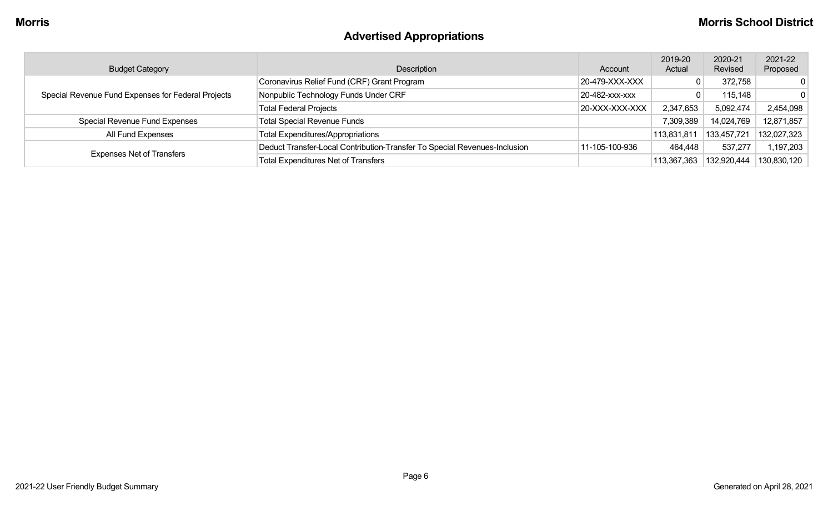# **Advertised Appropriations**

| <b>Budget Category</b>                             | Description                                                               | Account        | 2019-20<br>Actual | 2020-21<br>Revised | 2021-22<br>Proposed |
|----------------------------------------------------|---------------------------------------------------------------------------|----------------|-------------------|--------------------|---------------------|
|                                                    | Coronavirus Relief Fund (CRF) Grant Program                               | 20-479-XXX-XXX |                   | 372,758            | $\Omega$            |
| Special Revenue Fund Expenses for Federal Projects | Nonpublic Technology Funds Under CRF                                      | 20-482-XXX-XXX |                   | 115,148            | $\Omega$            |
|                                                    | <b>Total Federal Projects</b>                                             | 20-XXX-XXX-XXX | 2,347,653         | 5,092,474          | 2,454,098           |
| Special Revenue Fund Expenses                      | <b>Total Special Revenue Funds</b>                                        |                | 7,309,389         | 14,024,769         | 12,871,857          |
| All Fund Expenses                                  | <b>Total Expenditures/Appropriations</b>                                  |                | 113,831,811       | 133,457,721        | 132,027,323         |
|                                                    | Deduct Transfer-Local Contribution-Transfer To Special Revenues-Inclusion | 11-105-100-936 | 464,448           | 537,277            | 1,197,203           |
| <b>Expenses Net of Transfers</b>                   | <b>Total Expenditures Net of Transfers</b>                                |                | 113,367,363       | 132,920,444        | 130,830,120         |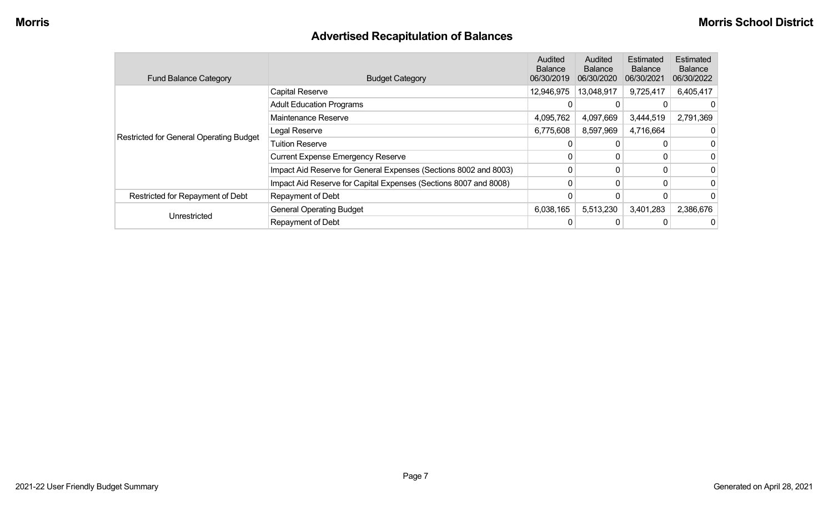# **Advertised Recapitulation of Balances**

| <b>Fund Balance Category</b>                   | <b>Budget Category</b>                                           | Audited<br><b>Balance</b><br>06/30/2019 | Audited<br><b>Balance</b><br>06/30/2020 | Estimated<br><b>Balance</b><br>06/30/2021 | Estimated<br><b>Balance</b><br>06/30/2022 |
|------------------------------------------------|------------------------------------------------------------------|-----------------------------------------|-----------------------------------------|-------------------------------------------|-------------------------------------------|
|                                                | Capital Reserve                                                  | 12,946,975                              | 13,048,917                              | 9,725,417                                 | 6,405,417                                 |
|                                                | <b>Adult Education Programs</b>                                  |                                         |                                         |                                           |                                           |
|                                                | Maintenance Reserve                                              | 4,095,762                               | 4,097,669                               | 3,444,519                                 | 2,791,369                                 |
| <b>Restricted for General Operating Budget</b> | Legal Reserve                                                    | 6,775,608                               | 8,597,969                               | 4,716,664                                 |                                           |
|                                                | <b>Tuition Reserve</b>                                           |                                         |                                         |                                           | 0                                         |
|                                                | <b>Current Expense Emergency Reserve</b>                         |                                         |                                         |                                           | 0                                         |
|                                                | Impact Aid Reserve for General Expenses (Sections 8002 and 8003) | 0                                       |                                         |                                           | 0                                         |
|                                                | Impact Aid Reserve for Capital Expenses (Sections 8007 and 8008) | $\Omega$                                | 0                                       |                                           | 0                                         |
| Restricted for Repayment of Debt               | Repayment of Debt                                                |                                         |                                         |                                           | $\Omega$                                  |
|                                                | <b>General Operating Budget</b>                                  | 6,038,165                               | 5,513,230                               | 3,401,283                                 | 2,386,676                                 |
| Unrestricted                                   | Repayment of Debt                                                |                                         |                                         |                                           | 0                                         |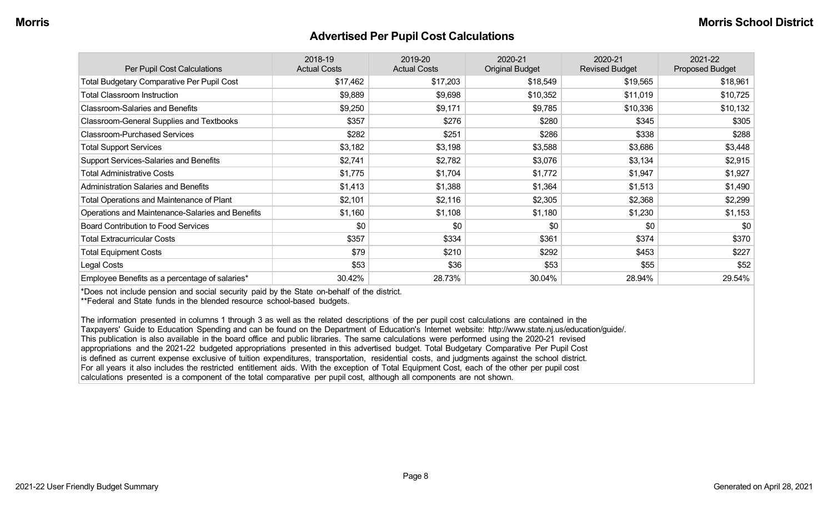#### **Advertised Per Pupil Cost Calculations**

| Per Pupil Cost Calculations                       | 2018-19<br><b>Actual Costs</b> | 2019-20<br><b>Actual Costs</b> | 2020-21<br><b>Original Budget</b> | 2020-21<br><b>Revised Budget</b> | 2021-22<br><b>Proposed Budget</b> |
|---------------------------------------------------|--------------------------------|--------------------------------|-----------------------------------|----------------------------------|-----------------------------------|
| <b>Total Budgetary Comparative Per Pupil Cost</b> | \$17,462                       | \$17,203                       | \$18,549                          | \$19,565                         | \$18,961                          |
| <b>Total Classroom Instruction</b>                | \$9,889                        | \$9,698                        | \$10,352                          | \$11,019                         | \$10,725                          |
| <b>Classroom-Salaries and Benefits</b>            | \$9,250                        | \$9,171                        | \$9,785                           | \$10,336                         | \$10,132                          |
| Classroom-General Supplies and Textbooks          | \$357                          | \$276                          | \$280                             | \$345                            | \$305                             |
| <b>Classroom-Purchased Services</b>               | \$282                          | \$251                          | \$286                             | \$338                            | \$288                             |
| <b>Total Support Services</b>                     | \$3,182                        | \$3,198                        | \$3,588                           | \$3,686                          | \$3,448                           |
| Support Services-Salaries and Benefits            | \$2,741                        | \$2,782                        | \$3,076                           | \$3,134                          | \$2,915                           |
| <b>Total Administrative Costs</b>                 | \$1,775                        | \$1,704                        | \$1,772                           | \$1,947                          | \$1,927                           |
| <b>Administration Salaries and Benefits</b>       | \$1,413                        | \$1,388                        | \$1,364                           | \$1,513                          | \$1,490                           |
| <b>Total Operations and Maintenance of Plant</b>  | \$2,101                        | \$2,116                        | \$2,305                           | \$2,368                          | \$2,299                           |
| Operations and Maintenance-Salaries and Benefits  | \$1,160                        | \$1,108                        | \$1,180                           | \$1,230                          | \$1,153                           |
| <b>Board Contribution to Food Services</b>        | \$0                            | \$0                            | \$0                               | \$0                              | \$0                               |
| <b>Total Extracurricular Costs</b>                | \$357                          | \$334                          | \$361                             | \$374                            | \$370                             |
| <b>Total Equipment Costs</b>                      | \$79                           | \$210                          | \$292                             | \$453                            | \$227                             |
| Legal Costs                                       | \$53                           | \$36                           | \$53                              | \$55                             | \$52                              |
| Employee Benefits as a percentage of salaries*    | 30.42%                         | 28.73%                         | 30.04%                            | 28.94%                           | 29.54%                            |

\*Does not include pension and social security paid by the State on-behalf of the district.

\*\*Federal and State funds in the blended resource school-based budgets.

The information presented in columns 1 through 3 as well as the related descriptions of the per pupil cost calculations are contained in the Taxpayers' Guide to Education Spending and can be found on the Department of Education's Internet website: http://www.state.nj.us/education/guide/. This publication is also available in the board office and public libraries. The same calculations were performed using the 2020-21 revised appropriations and the 2021-22 budgeted appropriations presented in this advertised budget. Total Budgetary Comparative Per Pupil Cost is defined as current expense exclusive of tuition expenditures, transportation, residential costs, and judgments against the school district. For all years it also includes the restricted entitlement aids. With the exception of Total Equipment Cost, each of the other per pupil cost calculations presented is a component of the total comparative per pupil cost, although all components are not shown.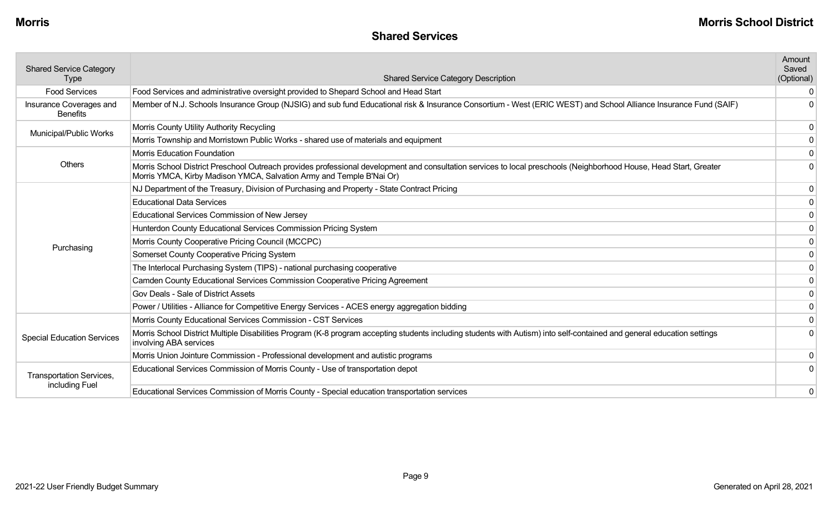#### **Shared Services**

| <b>Shared Service Category</b>             |                                                                                                                                                                                                                                            | Amount<br>Saved |
|--------------------------------------------|--------------------------------------------------------------------------------------------------------------------------------------------------------------------------------------------------------------------------------------------|-----------------|
| <b>Type</b>                                | <b>Shared Service Category Description</b>                                                                                                                                                                                                 | (Optional)      |
| <b>Food Services</b>                       | Food Services and administrative oversight provided to Shepard School and Head Start                                                                                                                                                       |                 |
| Insurance Coverages and<br><b>Benefits</b> | Member of N.J. Schools Insurance Group (NJSIG) and sub fund Educational risk & Insurance Consortium - West (ERIC WEST) and School Alliance Insurance Fund (SAIF)                                                                           | U               |
| Municipal/Public Works                     | Morris County Utility Authority Recycling                                                                                                                                                                                                  | $\mathbf 0$     |
|                                            | Morris Township and Morristown Public Works - shared use of materials and equipment                                                                                                                                                        | 0               |
|                                            | Morris Education Foundation                                                                                                                                                                                                                | 0               |
| <b>Others</b>                              | Morris School District Preschool Outreach provides professional development and consultation services to local preschools (Neighborhood House, Head Start, Greater<br>Morris YMCA, Kirby Madison YMCA, Salvation Army and Temple B'Nai Or) |                 |
|                                            | NJ Department of the Treasury, Division of Purchasing and Property - State Contract Pricing                                                                                                                                                | 0               |
|                                            | <b>Educational Data Services</b>                                                                                                                                                                                                           |                 |
|                                            | Educational Services Commission of New Jersey                                                                                                                                                                                              | 0               |
|                                            | Hunterdon County Educational Services Commission Pricing System                                                                                                                                                                            | $\mathbf 0$     |
| Purchasing                                 | Morris County Cooperative Pricing Council (MCCPC)                                                                                                                                                                                          | $\mathbf{0}$    |
|                                            | Somerset County Cooperative Pricing System                                                                                                                                                                                                 | 0               |
|                                            | The Interlocal Purchasing System (TIPS) - national purchasing cooperative                                                                                                                                                                  | 0               |
|                                            | Camden County Educational Services Commission Cooperative Pricing Agreement                                                                                                                                                                |                 |
|                                            | Gov Deals - Sale of District Assets                                                                                                                                                                                                        | 0               |
|                                            | Power / Utilities - Alliance for Competitive Energy Services - ACES energy aggregation bidding                                                                                                                                             | 0               |
|                                            | Morris County Educational Services Commission - CST Services                                                                                                                                                                               | $\mathbf 0$     |
| <b>Special Education Services</b>          | Morris School District Multiple Disabilities Program (K-8 program accepting students including students with Autism) into self-contained and general education settings<br>involving ABA services                                          | 0               |
|                                            | Morris Union Jointure Commission - Professional development and autistic programs                                                                                                                                                          | 0               |
| Transportation Services,                   | Educational Services Commission of Morris County - Use of transportation depot                                                                                                                                                             |                 |
| including Fuel                             | Educational Services Commission of Morris County - Special education transportation services                                                                                                                                               | 0               |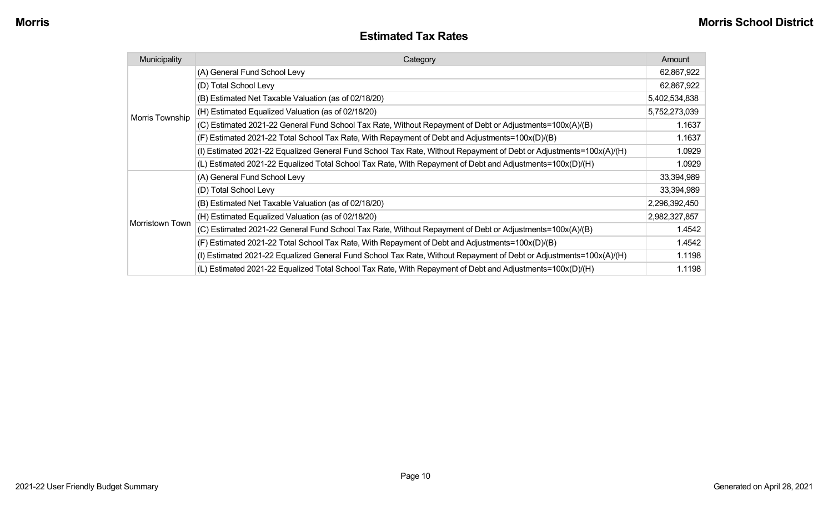#### **Estimated Tax Rates**

| Municipality    | Category                                                                                                           | Amount        |
|-----------------|--------------------------------------------------------------------------------------------------------------------|---------------|
|                 | (A) General Fund School Levy                                                                                       | 62,867,922    |
|                 | (D) Total School Levy                                                                                              | 62,867,922    |
|                 | (B) Estimated Net Taxable Valuation (as of 02/18/20)                                                               | 5,402,534,838 |
| Morris Township | (H) Estimated Equalized Valuation (as of 02/18/20)                                                                 | 5,752,273,039 |
|                 | (C) Estimated 2021-22 General Fund School Tax Rate, Without Repayment of Debt or Adjustments=100x(A)/(B)           | 1.1637        |
|                 | (F) Estimated 2021-22 Total School Tax Rate, With Repayment of Debt and Adjustments=100x(D)/(B)                    | 1.1637        |
|                 | (I) Estimated 2021-22 Equalized General Fund School Tax Rate, Without Repayment of Debt or Adjustments=100x(A)/(H) | 1.0929        |
|                 | (L) Estimated 2021-22 Equalized Total School Tax Rate, With Repayment of Debt and Adjustments=100x(D)/(H)          | 1.0929        |
|                 | (A) General Fund School Levy                                                                                       | 33,394,989    |
|                 | (D) Total School Levy                                                                                              | 33,394,989    |
|                 | (B) Estimated Net Taxable Valuation (as of 02/18/20)                                                               | 2,296,392,450 |
|                 | (H) Estimated Equalized Valuation (as of 02/18/20)                                                                 | 2,982,327,857 |
| Morristown Town | (C) Estimated 2021-22 General Fund School Tax Rate, Without Repayment of Debt or Adjustments=100x(A)/(B)           | 1.4542        |
|                 | (F) Estimated 2021-22 Total School Tax Rate, With Repayment of Debt and Adjustments=100x(D)/(B)                    | 1.4542        |
|                 | (I) Estimated 2021-22 Equalized General Fund School Tax Rate, Without Repayment of Debt or Adjustments=100x(A)/(H) | 1.1198        |
|                 | (L) Estimated 2021-22 Equalized Total School Tax Rate, With Repayment of Debt and Adjustments=100x(D)/(H)          | 1.1198        |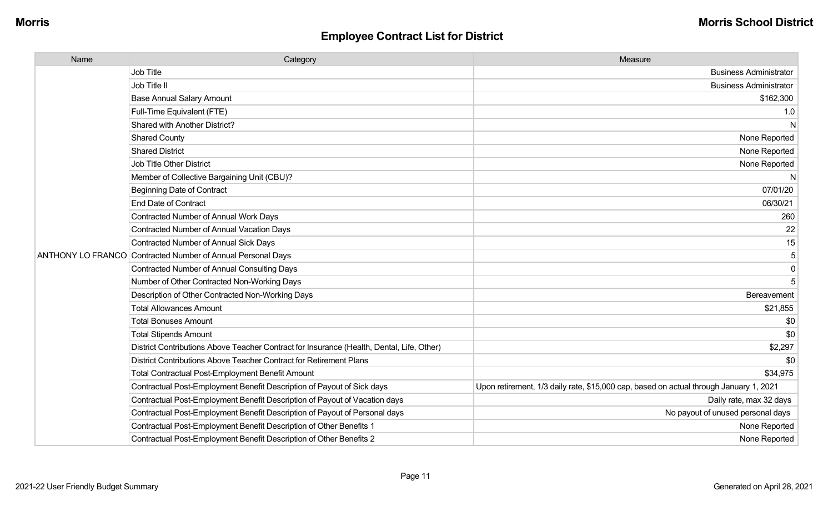| Name         | Category                                                                                  | Measure                                                                                |
|--------------|-------------------------------------------------------------------------------------------|----------------------------------------------------------------------------------------|
|              | <b>Job Title</b>                                                                          | <b>Business Administrator</b>                                                          |
| Job Title II |                                                                                           | <b>Business Administrator</b>                                                          |
|              | <b>Base Annual Salary Amount</b>                                                          | \$162,300                                                                              |
|              | Full-Time Equivalent (FTE)                                                                | 1.0                                                                                    |
|              | Shared with Another District?                                                             | N                                                                                      |
|              | <b>Shared County</b>                                                                      | None Reported                                                                          |
|              | <b>Shared District</b>                                                                    | None Reported                                                                          |
|              | Job Title Other District                                                                  | None Reported                                                                          |
|              | Member of Collective Bargaining Unit (CBU)?                                               | N                                                                                      |
|              | <b>Beginning Date of Contract</b>                                                         | 07/01/20                                                                               |
|              | <b>End Date of Contract</b>                                                               | 06/30/21                                                                               |
|              | <b>Contracted Number of Annual Work Days</b>                                              | 260                                                                                    |
|              | Contracted Number of Annual Vacation Days                                                 | 22                                                                                     |
|              | <b>Contracted Number of Annual Sick Days</b>                                              | 15                                                                                     |
|              | ANTHONY LO FRANCO Contracted Number of Annual Personal Days                               | 5                                                                                      |
|              | <b>Contracted Number of Annual Consulting Days</b>                                        | $\mathbf 0$                                                                            |
|              | Number of Other Contracted Non-Working Days                                               |                                                                                        |
|              | Description of Other Contracted Non-Working Days                                          | Bereavement                                                                            |
|              | <b>Total Allowances Amount</b>                                                            | \$21,855                                                                               |
|              | <b>Total Bonuses Amount</b>                                                               | \$0                                                                                    |
|              | <b>Total Stipends Amount</b>                                                              | \$0                                                                                    |
|              | District Contributions Above Teacher Contract for Insurance (Health, Dental, Life, Other) | \$2,297                                                                                |
|              | District Contributions Above Teacher Contract for Retirement Plans                        | \$0                                                                                    |
|              | <b>Total Contractual Post-Employment Benefit Amount</b>                                   | \$34,975                                                                               |
|              | Contractual Post-Employment Benefit Description of Payout of Sick days                    | Upon retirement, 1/3 daily rate, \$15,000 cap, based on actual through January 1, 2021 |
|              | Contractual Post-Employment Benefit Description of Payout of Vacation days                | Daily rate, max 32 days                                                                |
|              | Contractual Post-Employment Benefit Description of Payout of Personal days                | No payout of unused personal days                                                      |
|              | Contractual Post-Employment Benefit Description of Other Benefits 1                       | None Reported                                                                          |
|              | Contractual Post-Employment Benefit Description of Other Benefits 2                       | None Reported                                                                          |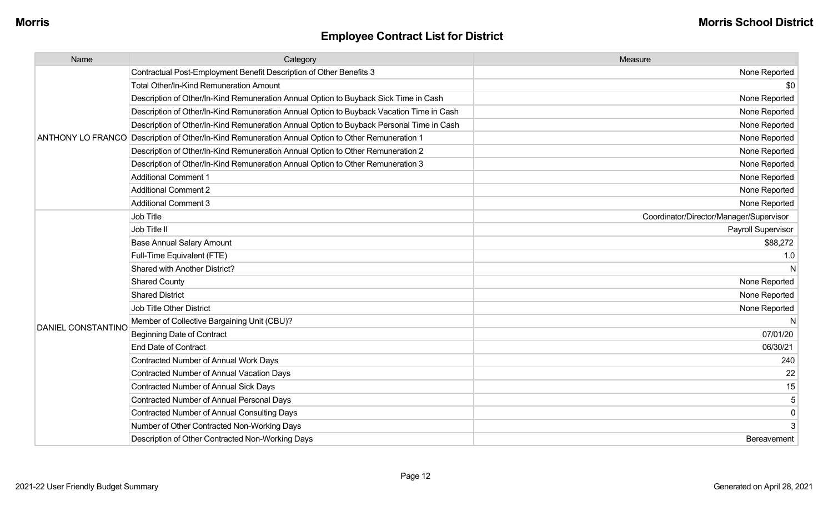| Name               | Category                                                                                          | Measure                                 |
|--------------------|---------------------------------------------------------------------------------------------------|-----------------------------------------|
|                    | Contractual Post-Employment Benefit Description of Other Benefits 3                               | None Reported                           |
|                    | <b>Total Other/In-Kind Remuneration Amount</b>                                                    | \$0                                     |
|                    | Description of Other/In-Kind Remuneration Annual Option to Buyback Sick Time in Cash              | None Reported                           |
|                    | Description of Other/In-Kind Remuneration Annual Option to Buyback Vacation Time in Cash          | None Reported                           |
|                    | Description of Other/In-Kind Remuneration Annual Option to Buyback Personal Time in Cash          | None Reported                           |
|                    | ANTHONY LO FRANCO Description of Other/In-Kind Remuneration Annual Option to Other Remuneration 1 | None Reported                           |
|                    | Description of Other/In-Kind Remuneration Annual Option to Other Remuneration 2                   | None Reported                           |
|                    | Description of Other/In-Kind Remuneration Annual Option to Other Remuneration 3                   | None Reported                           |
|                    | <b>Additional Comment 1</b>                                                                       | None Reported                           |
|                    | <b>Additional Comment 2</b>                                                                       | None Reported                           |
|                    | <b>Additional Comment 3</b>                                                                       | None Reported                           |
|                    | Job Title                                                                                         | Coordinator/Director/Manager/Supervisor |
|                    | Job Title II                                                                                      | Payroll Supervisor                      |
|                    | <b>Base Annual Salary Amount</b>                                                                  | \$88,272                                |
|                    | Full-Time Equivalent (FTE)                                                                        | 1.0                                     |
|                    | Shared with Another District?                                                                     | N                                       |
|                    | <b>Shared County</b>                                                                              | None Reported                           |
|                    | <b>Shared District</b>                                                                            | None Reported                           |
|                    | <b>Job Title Other District</b>                                                                   | None Reported                           |
|                    | Member of Collective Bargaining Unit (CBU)?                                                       | N                                       |
| DANIEL CONSTANTINO | <b>Beginning Date of Contract</b>                                                                 | 07/01/20                                |
|                    | <b>End Date of Contract</b>                                                                       | 06/30/21                                |
|                    | Contracted Number of Annual Work Days                                                             | 240                                     |
|                    | <b>Contracted Number of Annual Vacation Days</b>                                                  | 22                                      |
|                    | <b>Contracted Number of Annual Sick Days</b>                                                      | 15                                      |
|                    | <b>Contracted Number of Annual Personal Days</b>                                                  | 5                                       |
|                    | <b>Contracted Number of Annual Consulting Days</b>                                                | $\mathbf 0$                             |
|                    | Number of Other Contracted Non-Working Days                                                       | 3                                       |
|                    | Description of Other Contracted Non-Working Days                                                  | Bereavement                             |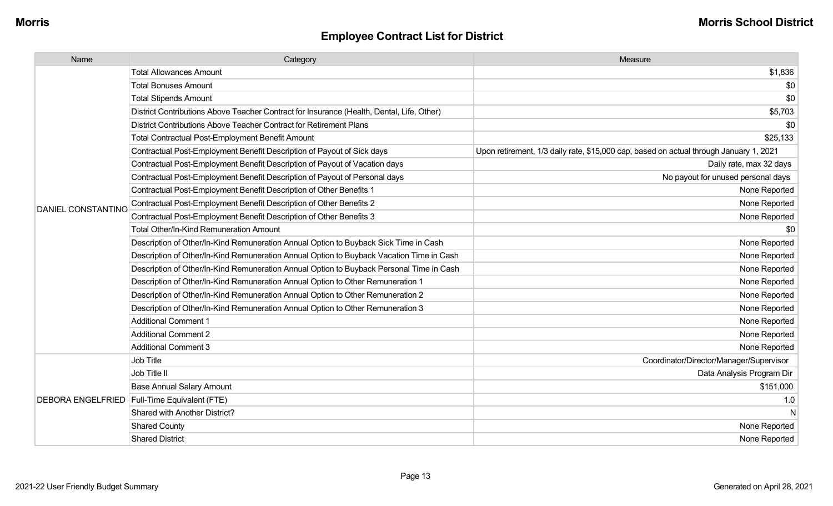| Name                      | Category                                                                                  | Measure                                                                                |
|---------------------------|-------------------------------------------------------------------------------------------|----------------------------------------------------------------------------------------|
|                           | <b>Total Allowances Amount</b>                                                            | \$1,836                                                                                |
|                           | <b>Total Bonuses Amount</b>                                                               | \$0                                                                                    |
|                           | <b>Total Stipends Amount</b>                                                              | \$0                                                                                    |
|                           | District Contributions Above Teacher Contract for Insurance (Health, Dental, Life, Other) | \$5,703                                                                                |
|                           | District Contributions Above Teacher Contract for Retirement Plans                        | \$0                                                                                    |
|                           | <b>Total Contractual Post-Employment Benefit Amount</b>                                   | \$25,133                                                                               |
|                           | Contractual Post-Employment Benefit Description of Payout of Sick days                    | Upon retirement, 1/3 daily rate, \$15,000 cap, based on actual through January 1, 2021 |
|                           | Contractual Post-Employment Benefit Description of Payout of Vacation days                | Daily rate, max 32 days                                                                |
|                           | Contractual Post-Employment Benefit Description of Payout of Personal days                | No payout for unused personal days                                                     |
|                           | Contractual Post-Employment Benefit Description of Other Benefits 1                       | None Reported                                                                          |
| <b>DANIEL CONSTANTINC</b> | Contractual Post-Employment Benefit Description of Other Benefits 2                       | None Reported                                                                          |
|                           | Contractual Post-Employment Benefit Description of Other Benefits 3                       | None Reported                                                                          |
|                           | <b>Total Other/In-Kind Remuneration Amount</b>                                            | \$0                                                                                    |
|                           | Description of Other/In-Kind Remuneration Annual Option to Buyback Sick Time in Cash      | None Reported                                                                          |
|                           | Description of Other/In-Kind Remuneration Annual Option to Buyback Vacation Time in Cash  | None Reported                                                                          |
|                           | Description of Other/In-Kind Remuneration Annual Option to Buyback Personal Time in Cash  | None Reported                                                                          |
|                           | Description of Other/In-Kind Remuneration Annual Option to Other Remuneration 1           | None Reported                                                                          |
|                           | Description of Other/In-Kind Remuneration Annual Option to Other Remuneration 2           | None Reported                                                                          |
|                           | Description of Other/In-Kind Remuneration Annual Option to Other Remuneration 3           | None Reported                                                                          |
|                           | <b>Additional Comment 1</b>                                                               | None Reported                                                                          |
|                           | <b>Additional Comment 2</b>                                                               | None Reported                                                                          |
|                           | <b>Additional Comment 3</b>                                                               | None Reported                                                                          |
|                           | Job Title                                                                                 | Coordinator/Director/Manager/Supervisor                                                |
|                           | Job Title II                                                                              | Data Analysis Program Dir                                                              |
|                           | <b>Base Annual Salary Amount</b>                                                          | \$151,000                                                                              |
|                           | DEBORA ENGELFRIED   Full-Time Equivalent (FTE)                                            | 1.0                                                                                    |
|                           | Shared with Another District?                                                             | N                                                                                      |
|                           | <b>Shared County</b>                                                                      | None Reported                                                                          |
|                           | <b>Shared District</b>                                                                    | None Reported                                                                          |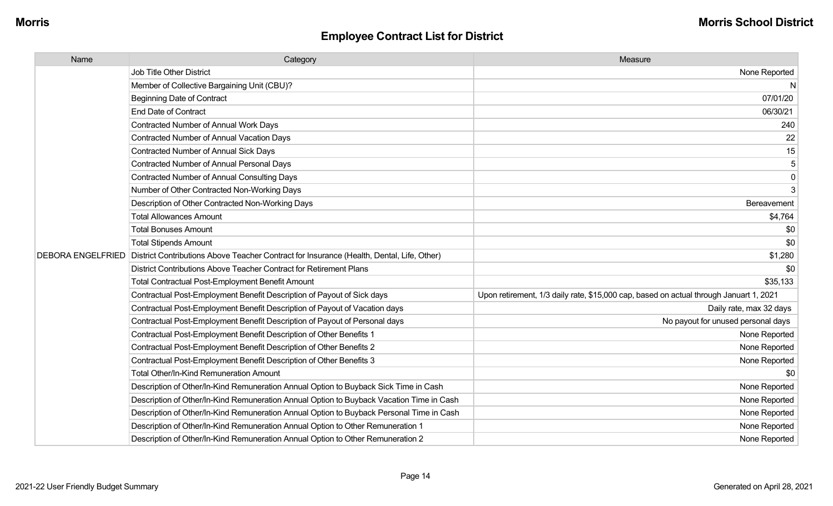| Name                     | Category                                                                                  | Measure                                                                                |
|--------------------------|-------------------------------------------------------------------------------------------|----------------------------------------------------------------------------------------|
|                          | Job Title Other District                                                                  | None Reported                                                                          |
|                          | Member of Collective Bargaining Unit (CBU)?                                               | $\mathsf{N}$                                                                           |
|                          | <b>Beginning Date of Contract</b>                                                         | 07/01/20                                                                               |
|                          | <b>End Date of Contract</b>                                                               | 06/30/21                                                                               |
|                          | <b>Contracted Number of Annual Work Days</b>                                              | 240                                                                                    |
|                          | Contracted Number of Annual Vacation Days                                                 | 22                                                                                     |
|                          | <b>Contracted Number of Annual Sick Days</b>                                              | 15                                                                                     |
|                          | <b>Contracted Number of Annual Personal Days</b>                                          | $\mathbf 5$                                                                            |
|                          | <b>Contracted Number of Annual Consulting Days</b>                                        | $\mathbf 0$                                                                            |
|                          | Number of Other Contracted Non-Working Days                                               | 3                                                                                      |
|                          | Description of Other Contracted Non-Working Days                                          | Bereavement                                                                            |
|                          | <b>Total Allowances Amount</b>                                                            | \$4,764                                                                                |
|                          | <b>Total Bonuses Amount</b>                                                               | \$0                                                                                    |
|                          | <b>Total Stipends Amount</b>                                                              | \$0                                                                                    |
| <b>DEBORA ENGELFRIED</b> | District Contributions Above Teacher Contract for Insurance (Health, Dental, Life, Other) | \$1,280                                                                                |
|                          | District Contributions Above Teacher Contract for Retirement Plans                        | \$0                                                                                    |
|                          | Total Contractual Post-Employment Benefit Amount                                          | \$35,133                                                                               |
|                          | Contractual Post-Employment Benefit Description of Payout of Sick days                    | Upon retirement, 1/3 daily rate, \$15,000 cap, based on actual through Januart 1, 2021 |
|                          | Contractual Post-Employment Benefit Description of Payout of Vacation days                | Daily rate, max 32 days                                                                |
|                          | Contractual Post-Employment Benefit Description of Payout of Personal days                | No payout for unused personal days                                                     |
|                          | Contractual Post-Employment Benefit Description of Other Benefits 1                       | None Reported                                                                          |
|                          | Contractual Post-Employment Benefit Description of Other Benefits 2                       | None Reported                                                                          |
|                          | Contractual Post-Employment Benefit Description of Other Benefits 3                       | None Reported                                                                          |
|                          | <b>Total Other/In-Kind Remuneration Amount</b>                                            | \$0                                                                                    |
|                          | Description of Other/In-Kind Remuneration Annual Option to Buyback Sick Time in Cash      | None Reported                                                                          |
|                          | Description of Other/In-Kind Remuneration Annual Option to Buyback Vacation Time in Cash  | None Reported                                                                          |
|                          | Description of Other/In-Kind Remuneration Annual Option to Buyback Personal Time in Cash  | None Reported                                                                          |
|                          | Description of Other/In-Kind Remuneration Annual Option to Other Remuneration 1           | None Reported                                                                          |
|                          | Description of Other/In-Kind Remuneration Annual Option to Other Remuneration 2           | None Reported                                                                          |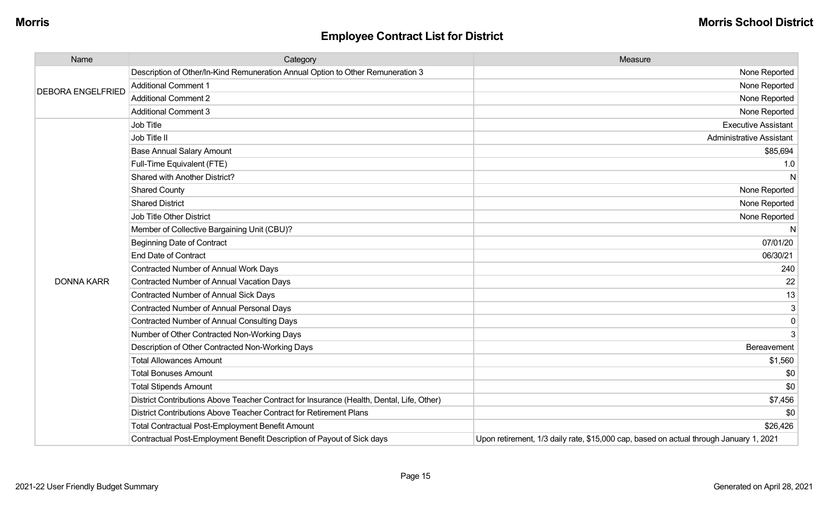| Name                     | Category                                                                                  | Measure                                                                                |
|--------------------------|-------------------------------------------------------------------------------------------|----------------------------------------------------------------------------------------|
|                          | Description of Other/In-Kind Remuneration Annual Option to Other Remuneration 3           | None Reported                                                                          |
| <b>DEBORA ENGELFRIED</b> | <b>Additional Comment 1</b>                                                               | None Reported                                                                          |
|                          | <b>Additional Comment 2</b>                                                               | None Reported                                                                          |
|                          | <b>Additional Comment 3</b>                                                               | None Reported                                                                          |
|                          | Job Title                                                                                 | <b>Executive Assistant</b>                                                             |
|                          | Job Title II                                                                              | <b>Administrative Assistant</b>                                                        |
|                          | <b>Base Annual Salary Amount</b>                                                          | \$85,694                                                                               |
|                          | Full-Time Equivalent (FTE)                                                                | 1.0                                                                                    |
|                          | Shared with Another District?                                                             | $\mathsf{N}$                                                                           |
|                          | <b>Shared County</b>                                                                      | None Reported                                                                          |
|                          | <b>Shared District</b>                                                                    | None Reported                                                                          |
|                          | <b>Job Title Other District</b>                                                           | None Reported                                                                          |
|                          | Member of Collective Bargaining Unit (CBU)?                                               | N                                                                                      |
|                          | <b>Beginning Date of Contract</b>                                                         | 07/01/20                                                                               |
|                          | <b>End Date of Contract</b>                                                               | 06/30/21                                                                               |
|                          | <b>Contracted Number of Annual Work Days</b>                                              | 240                                                                                    |
| <b>DONNA KARR</b>        | <b>Contracted Number of Annual Vacation Days</b>                                          | 22                                                                                     |
|                          | Contracted Number of Annual Sick Days                                                     | 13                                                                                     |
|                          | <b>Contracted Number of Annual Personal Days</b>                                          | $\mathsf 3$                                                                            |
|                          | <b>Contracted Number of Annual Consulting Days</b>                                        | 0                                                                                      |
|                          | Number of Other Contracted Non-Working Days                                               | 3                                                                                      |
|                          | Description of Other Contracted Non-Working Days                                          | Bereavement                                                                            |
|                          | <b>Total Allowances Amount</b>                                                            | \$1,560                                                                                |
|                          | <b>Total Bonuses Amount</b>                                                               | \$0                                                                                    |
|                          | <b>Total Stipends Amount</b>                                                              | \$0                                                                                    |
|                          | District Contributions Above Teacher Contract for Insurance (Health, Dental, Life, Other) | \$7,456                                                                                |
|                          | District Contributions Above Teacher Contract for Retirement Plans                        | \$0                                                                                    |
|                          | <b>Total Contractual Post-Employment Benefit Amount</b>                                   | \$26,426                                                                               |
|                          | Contractual Post-Employment Benefit Description of Payout of Sick days                    | Upon retirement, 1/3 daily rate, \$15,000 cap, based on actual through January 1, 2021 |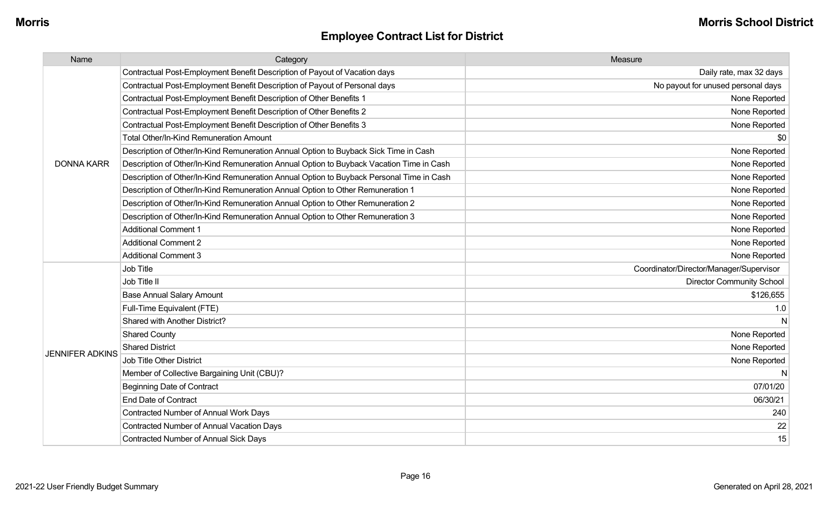| Name                   | Category                                                                                 | Measure                                 |
|------------------------|------------------------------------------------------------------------------------------|-----------------------------------------|
|                        | Contractual Post-Employment Benefit Description of Payout of Vacation days               | Daily rate, max 32 days                 |
|                        | Contractual Post-Employment Benefit Description of Payout of Personal days               | No payout for unused personal days      |
|                        | Contractual Post-Employment Benefit Description of Other Benefits 1                      | None Reported                           |
|                        | Contractual Post-Employment Benefit Description of Other Benefits 2                      | None Reported                           |
|                        | Contractual Post-Employment Benefit Description of Other Benefits 3                      | None Reported                           |
|                        | <b>Total Other/In-Kind Remuneration Amount</b>                                           | \$0                                     |
|                        | Description of Other/In-Kind Remuneration Annual Option to Buyback Sick Time in Cash     | None Reported                           |
| <b>DONNA KARR</b>      | Description of Other/In-Kind Remuneration Annual Option to Buyback Vacation Time in Cash | None Reported                           |
|                        | Description of Other/In-Kind Remuneration Annual Option to Buyback Personal Time in Cash | None Reported                           |
|                        | Description of Other/In-Kind Remuneration Annual Option to Other Remuneration 1          | None Reported                           |
|                        | Description of Other/In-Kind Remuneration Annual Option to Other Remuneration 2          | None Reported                           |
|                        | Description of Other/In-Kind Remuneration Annual Option to Other Remuneration 3          | None Reported                           |
|                        | <b>Additional Comment 1</b>                                                              | None Reported                           |
|                        | <b>Additional Comment 2</b>                                                              | None Reported                           |
|                        | <b>Additional Comment 3</b>                                                              | None Reported                           |
|                        | Job Title                                                                                | Coordinator/Director/Manager/Supervisor |
|                        | Job Title II                                                                             | <b>Director Community School</b>        |
|                        | <b>Base Annual Salary Amount</b>                                                         | \$126,655                               |
|                        | Full-Time Equivalent (FTE)                                                               | 1.0                                     |
|                        | Shared with Another District?                                                            | N                                       |
|                        | <b>Shared County</b>                                                                     | None Reported                           |
|                        | <b>Shared District</b>                                                                   | None Reported                           |
| <b>JENNIFER ADKINS</b> | <b>Job Title Other District</b>                                                          | None Reported                           |
|                        | Member of Collective Bargaining Unit (CBU)?                                              | N                                       |
|                        | <b>Beginning Date of Contract</b>                                                        | 07/01/20                                |
|                        | <b>End Date of Contract</b>                                                              | 06/30/21                                |
|                        | Contracted Number of Annual Work Days                                                    | 240                                     |
|                        | <b>Contracted Number of Annual Vacation Days</b>                                         | 22                                      |
|                        | <b>Contracted Number of Annual Sick Days</b>                                             | 15                                      |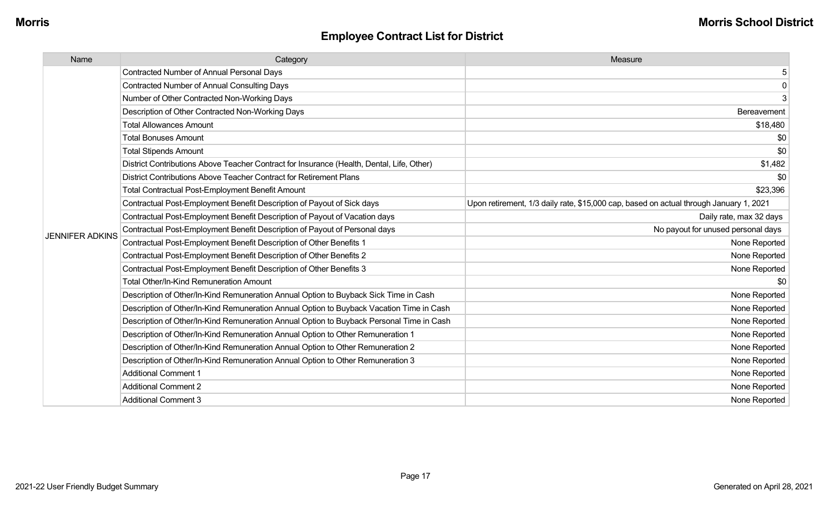| Name                   | Category                                                                                  | Measure                                                                                |
|------------------------|-------------------------------------------------------------------------------------------|----------------------------------------------------------------------------------------|
|                        | <b>Contracted Number of Annual Personal Days</b>                                          | 5                                                                                      |
|                        | <b>Contracted Number of Annual Consulting Days</b>                                        | $\Omega$                                                                               |
|                        | Number of Other Contracted Non-Working Days                                               | 3                                                                                      |
|                        | Description of Other Contracted Non-Working Days                                          | Bereavement                                                                            |
|                        | <b>Total Allowances Amount</b>                                                            | \$18,480                                                                               |
|                        | <b>Total Bonuses Amount</b>                                                               | \$0                                                                                    |
|                        | <b>Total Stipends Amount</b>                                                              | \$0                                                                                    |
|                        | District Contributions Above Teacher Contract for Insurance (Health, Dental, Life, Other) | \$1,482                                                                                |
|                        | District Contributions Above Teacher Contract for Retirement Plans                        | \$0                                                                                    |
|                        | <b>Total Contractual Post-Employment Benefit Amount</b>                                   | \$23,396                                                                               |
|                        | Contractual Post-Employment Benefit Description of Payout of Sick days                    | Upon retirement, 1/3 daily rate, \$15,000 cap, based on actual through January 1, 2021 |
|                        | Contractual Post-Employment Benefit Description of Payout of Vacation days                | Daily rate, max 32 days                                                                |
| <b>JENNIFER ADKINS</b> | Contractual Post-Employment Benefit Description of Payout of Personal days                | No payout for unused personal days                                                     |
|                        | Contractual Post-Employment Benefit Description of Other Benefits 1                       | None Reported                                                                          |
|                        | Contractual Post-Employment Benefit Description of Other Benefits 2                       | None Reported                                                                          |
|                        | Contractual Post-Employment Benefit Description of Other Benefits 3                       | None Reported                                                                          |
|                        | <b>Total Other/In-Kind Remuneration Amount</b>                                            | \$0                                                                                    |
|                        | Description of Other/In-Kind Remuneration Annual Option to Buyback Sick Time in Cash      | None Reported                                                                          |
|                        | Description of Other/In-Kind Remuneration Annual Option to Buyback Vacation Time in Cash  | None Reported                                                                          |
|                        | Description of Other/In-Kind Remuneration Annual Option to Buyback Personal Time in Cash  | None Reported                                                                          |
|                        | Description of Other/In-Kind Remuneration Annual Option to Other Remuneration 1           | None Reported                                                                          |
|                        | Description of Other/In-Kind Remuneration Annual Option to Other Remuneration 2           | None Reported                                                                          |
|                        | Description of Other/In-Kind Remuneration Annual Option to Other Remuneration 3           | None Reported                                                                          |
|                        | <b>Additional Comment 1</b>                                                               | None Reported                                                                          |
|                        | <b>Additional Comment 2</b>                                                               | None Reported                                                                          |
|                        | <b>Additional Comment 3</b>                                                               | None Reported                                                                          |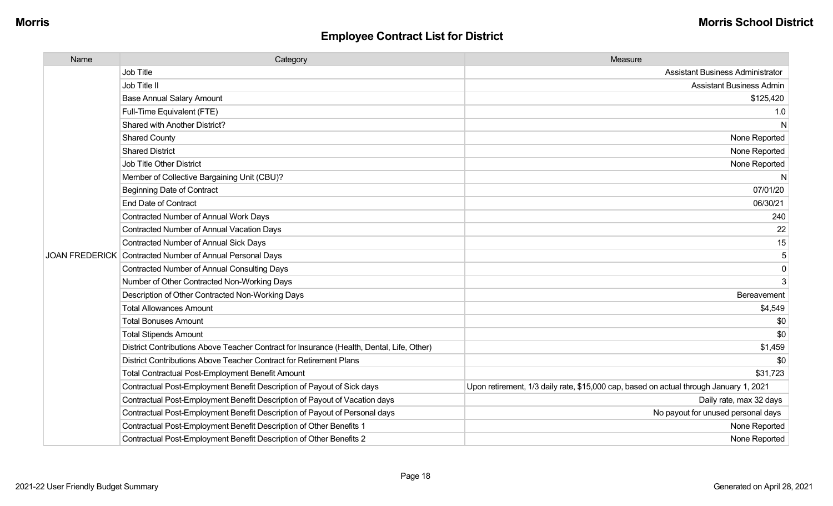| Name | Category                                                                                  | Measure                                                                                |
|------|-------------------------------------------------------------------------------------------|----------------------------------------------------------------------------------------|
|      | <b>Job Title</b>                                                                          | <b>Assistant Business Administrator</b>                                                |
|      | Job Title II                                                                              | <b>Assistant Business Admin</b>                                                        |
|      | <b>Base Annual Salary Amount</b>                                                          | \$125,420                                                                              |
|      | Full-Time Equivalent (FTE)                                                                | 1.0                                                                                    |
|      | Shared with Another District?                                                             | N                                                                                      |
|      | <b>Shared County</b>                                                                      | None Reported                                                                          |
|      | <b>Shared District</b>                                                                    | None Reported                                                                          |
|      | <b>Job Title Other District</b>                                                           | None Reported                                                                          |
|      | Member of Collective Bargaining Unit (CBU)?                                               | N                                                                                      |
|      | <b>Beginning Date of Contract</b>                                                         | 07/01/20                                                                               |
|      | <b>End Date of Contract</b>                                                               | 06/30/21                                                                               |
|      | <b>Contracted Number of Annual Work Days</b>                                              | 240                                                                                    |
|      | <b>Contracted Number of Annual Vacation Days</b>                                          | 22                                                                                     |
|      | <b>Contracted Number of Annual Sick Days</b>                                              | 15                                                                                     |
|      | JOAN FREDERICK Contracted Number of Annual Personal Days                                  | 5                                                                                      |
|      | <b>Contracted Number of Annual Consulting Days</b>                                        | $\mathbf 0$                                                                            |
|      | Number of Other Contracted Non-Working Days                                               | 3                                                                                      |
|      | Description of Other Contracted Non-Working Days                                          | Bereavement                                                                            |
|      | <b>Total Allowances Amount</b>                                                            | \$4,549                                                                                |
|      | <b>Total Bonuses Amount</b>                                                               | \$0                                                                                    |
|      | <b>Total Stipends Amount</b>                                                              | \$0                                                                                    |
|      | District Contributions Above Teacher Contract for Insurance (Health, Dental, Life, Other) | \$1,459                                                                                |
|      | District Contributions Above Teacher Contract for Retirement Plans                        | \$0                                                                                    |
|      | <b>Total Contractual Post-Employment Benefit Amount</b>                                   | \$31,723                                                                               |
|      | Contractual Post-Employment Benefit Description of Payout of Sick days                    | Upon retirement, 1/3 daily rate, \$15,000 cap, based on actual through January 1, 2021 |
|      | Contractual Post-Employment Benefit Description of Payout of Vacation days                | Daily rate, max 32 days                                                                |
|      | Contractual Post-Employment Benefit Description of Payout of Personal days                | No payout for unused personal days                                                     |
|      | Contractual Post-Employment Benefit Description of Other Benefits 1                       | None Reported                                                                          |
|      | Contractual Post-Employment Benefit Description of Other Benefits 2                       | None Reported                                                                          |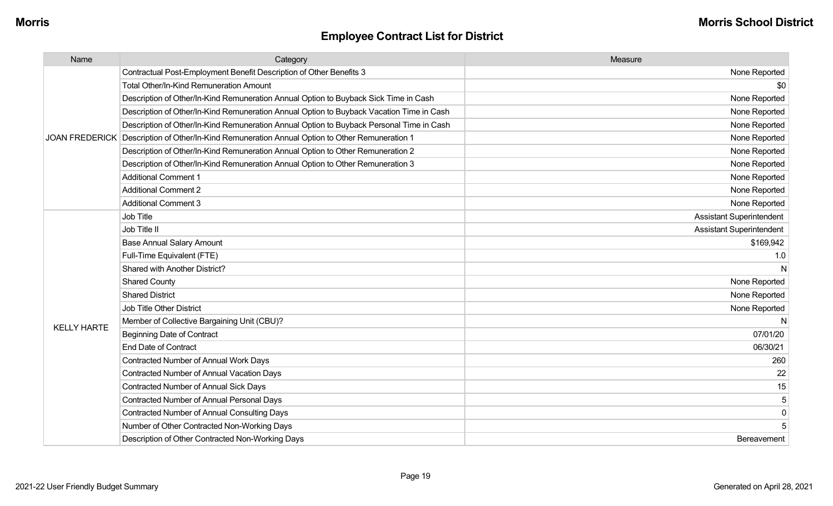| Name               | Category                                                                                       | Measure                         |
|--------------------|------------------------------------------------------------------------------------------------|---------------------------------|
|                    | Contractual Post-Employment Benefit Description of Other Benefits 3                            | None Reported                   |
|                    | <b>Total Other/In-Kind Remuneration Amount</b>                                                 | \$0                             |
|                    | Description of Other/In-Kind Remuneration Annual Option to Buyback Sick Time in Cash           | None Reported                   |
|                    | Description of Other/In-Kind Remuneration Annual Option to Buyback Vacation Time in Cash       | None Reported                   |
|                    | Description of Other/In-Kind Remuneration Annual Option to Buyback Personal Time in Cash       | None Reported                   |
|                    | JOAN FREDERICK Description of Other/In-Kind Remuneration Annual Option to Other Remuneration 1 | None Reported                   |
|                    | Description of Other/In-Kind Remuneration Annual Option to Other Remuneration 2                | None Reported                   |
|                    | Description of Other/In-Kind Remuneration Annual Option to Other Remuneration 3                | None Reported                   |
|                    | <b>Additional Comment 1</b>                                                                    | None Reported                   |
|                    | <b>Additional Comment 2</b>                                                                    | None Reported                   |
|                    | <b>Additional Comment 3</b>                                                                    | None Reported                   |
|                    | <b>Job Title</b>                                                                               | <b>Assistant Superintendent</b> |
|                    | Job Title II                                                                                   | <b>Assistant Superintendent</b> |
|                    | <b>Base Annual Salary Amount</b>                                                               | \$169,942                       |
|                    | Full-Time Equivalent (FTE)                                                                     | 1.0                             |
|                    | Shared with Another District?                                                                  | N                               |
|                    | <b>Shared County</b>                                                                           | None Reported                   |
|                    | <b>Shared District</b>                                                                         | None Reported                   |
|                    | <b>Job Title Other District</b>                                                                | None Reported                   |
| <b>KELLY HARTE</b> | Member of Collective Bargaining Unit (CBU)?                                                    | N                               |
|                    | <b>Beginning Date of Contract</b>                                                              | 07/01/20                        |
|                    | <b>End Date of Contract</b>                                                                    | 06/30/21                        |
|                    | Contracted Number of Annual Work Days                                                          | 260                             |
|                    | <b>Contracted Number of Annual Vacation Days</b>                                               | 22                              |
|                    | <b>Contracted Number of Annual Sick Days</b>                                                   | 15                              |
|                    | <b>Contracted Number of Annual Personal Days</b>                                               | 5                               |
|                    | <b>Contracted Number of Annual Consulting Days</b>                                             | $\overline{0}$                  |
|                    | Number of Other Contracted Non-Working Days                                                    | 5                               |
|                    | Description of Other Contracted Non-Working Days                                               | Bereavement                     |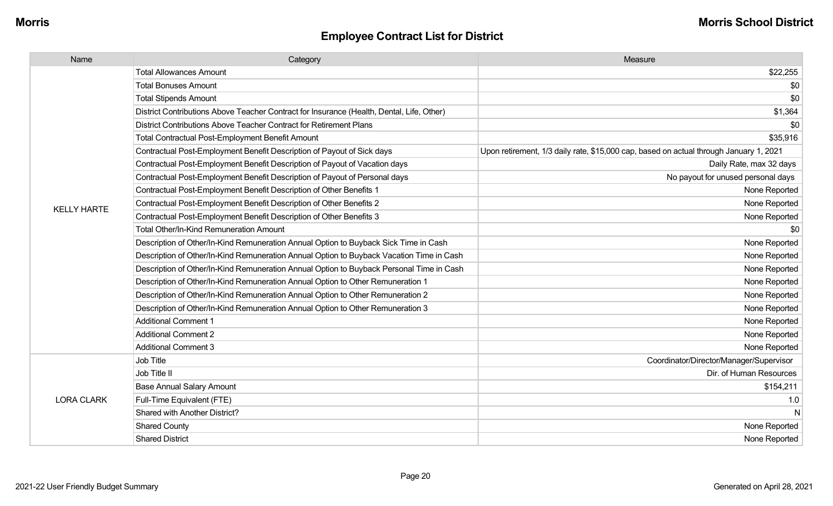| Name               | Category                                                                                  | Measure                                                                                |
|--------------------|-------------------------------------------------------------------------------------------|----------------------------------------------------------------------------------------|
|                    | <b>Total Allowances Amount</b>                                                            | \$22,255                                                                               |
|                    | <b>Total Bonuses Amount</b>                                                               | \$0                                                                                    |
|                    | <b>Total Stipends Amount</b>                                                              | \$0                                                                                    |
|                    | District Contributions Above Teacher Contract for Insurance (Health, Dental, Life, Other) | \$1,364                                                                                |
|                    | District Contributions Above Teacher Contract for Retirement Plans                        | \$0                                                                                    |
|                    | <b>Total Contractual Post-Employment Benefit Amount</b>                                   | \$35,916                                                                               |
|                    | Contractual Post-Employment Benefit Description of Payout of Sick days                    | Upon retirement, 1/3 daily rate, \$15,000 cap, based on actual through January 1, 2021 |
|                    | Contractual Post-Employment Benefit Description of Payout of Vacation days                | Daily Rate, max 32 days                                                                |
|                    | Contractual Post-Employment Benefit Description of Payout of Personal days                | No payout for unused personal days                                                     |
|                    | Contractual Post-Employment Benefit Description of Other Benefits 1                       | None Reported                                                                          |
| <b>KELLY HARTE</b> | Contractual Post-Employment Benefit Description of Other Benefits 2                       | None Reported                                                                          |
|                    | Contractual Post-Employment Benefit Description of Other Benefits 3                       | None Reported                                                                          |
|                    | Total Other/In-Kind Remuneration Amount                                                   | \$0                                                                                    |
|                    | Description of Other/In-Kind Remuneration Annual Option to Buyback Sick Time in Cash      | None Reported                                                                          |
|                    | Description of Other/In-Kind Remuneration Annual Option to Buyback Vacation Time in Cash  | None Reported                                                                          |
|                    | Description of Other/In-Kind Remuneration Annual Option to Buyback Personal Time in Cash  | None Reported                                                                          |
|                    | Description of Other/In-Kind Remuneration Annual Option to Other Remuneration 1           | None Reported                                                                          |
|                    | Description of Other/In-Kind Remuneration Annual Option to Other Remuneration 2           | None Reported                                                                          |
|                    | Description of Other/In-Kind Remuneration Annual Option to Other Remuneration 3           | None Reported                                                                          |
|                    | <b>Additional Comment 1</b>                                                               | None Reported                                                                          |
|                    | <b>Additional Comment 2</b>                                                               | None Reported                                                                          |
|                    | <b>Additional Comment 3</b>                                                               | None Reported                                                                          |
|                    | Job Title                                                                                 | Coordinator/Director/Manager/Supervisor                                                |
|                    | Job Title II                                                                              | Dir. of Human Resources                                                                |
|                    | <b>Base Annual Salary Amount</b>                                                          | \$154,211                                                                              |
| <b>LORA CLARK</b>  | Full-Time Equivalent (FTE)                                                                | 1.0                                                                                    |
|                    | Shared with Another District?                                                             | N                                                                                      |
|                    | <b>Shared County</b>                                                                      | None Reported                                                                          |
|                    | <b>Shared District</b>                                                                    | None Reported                                                                          |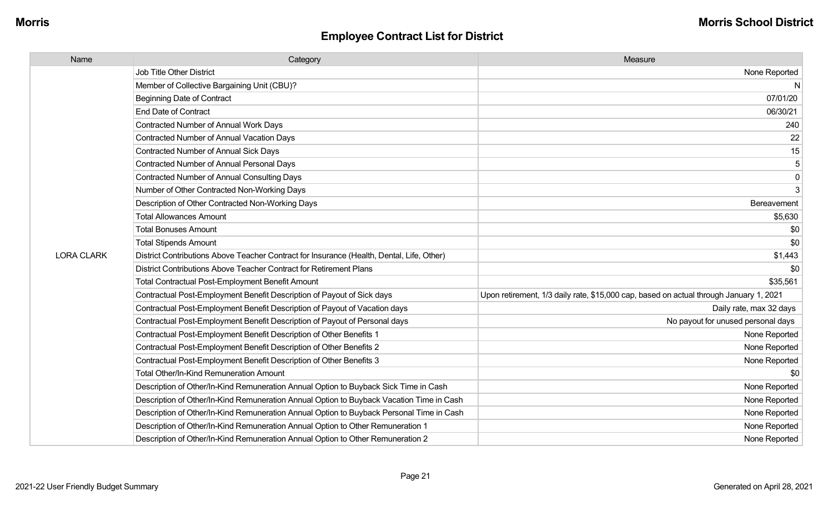| Name              | Category                                                                                  | Measure                                                                                |
|-------------------|-------------------------------------------------------------------------------------------|----------------------------------------------------------------------------------------|
|                   | <b>Job Title Other District</b>                                                           | None Reported                                                                          |
|                   | Member of Collective Bargaining Unit (CBU)?                                               |                                                                                        |
|                   | <b>Beginning Date of Contract</b>                                                         | 07/01/20                                                                               |
|                   | <b>End Date of Contract</b>                                                               | 06/30/21                                                                               |
|                   | Contracted Number of Annual Work Days                                                     | 240                                                                                    |
|                   | Contracted Number of Annual Vacation Days                                                 | 22                                                                                     |
|                   | Contracted Number of Annual Sick Days                                                     | 15                                                                                     |
|                   | <b>Contracted Number of Annual Personal Days</b>                                          |                                                                                        |
|                   | <b>Contracted Number of Annual Consulting Days</b>                                        | 0                                                                                      |
|                   | Number of Other Contracted Non-Working Days                                               | 3                                                                                      |
|                   | Description of Other Contracted Non-Working Days                                          | Bereavement                                                                            |
|                   | <b>Total Allowances Amount</b>                                                            | \$5,630                                                                                |
|                   | <b>Total Bonuses Amount</b>                                                               | \$0                                                                                    |
|                   | <b>Total Stipends Amount</b>                                                              | \$0                                                                                    |
| <b>LORA CLARK</b> | District Contributions Above Teacher Contract for Insurance (Health, Dental, Life, Other) | \$1,443                                                                                |
|                   | District Contributions Above Teacher Contract for Retirement Plans                        | \$0                                                                                    |
|                   | <b>Total Contractual Post-Employment Benefit Amount</b>                                   | \$35,561                                                                               |
|                   | Contractual Post-Employment Benefit Description of Payout of Sick days                    | Upon retirement, 1/3 daily rate, \$15,000 cap, based on actual through January 1, 2021 |
|                   | Contractual Post-Employment Benefit Description of Payout of Vacation days                | Daily rate, max 32 days                                                                |
|                   | Contractual Post-Employment Benefit Description of Payout of Personal days                | No payout for unused personal days                                                     |
|                   | Contractual Post-Employment Benefit Description of Other Benefits 1                       | None Reported                                                                          |
|                   | Contractual Post-Employment Benefit Description of Other Benefits 2                       | None Reported                                                                          |
|                   | Contractual Post-Employment Benefit Description of Other Benefits 3                       | None Reported                                                                          |
|                   | Total Other/In-Kind Remuneration Amount                                                   | -90                                                                                    |
|                   | Description of Other/In-Kind Remuneration Annual Option to Buyback Sick Time in Cash      | None Reported                                                                          |
|                   | Description of Other/In-Kind Remuneration Annual Option to Buyback Vacation Time in Cash  | None Reported                                                                          |
|                   | Description of Other/In-Kind Remuneration Annual Option to Buyback Personal Time in Cash  | None Reported                                                                          |
|                   | Description of Other/In-Kind Remuneration Annual Option to Other Remuneration 1           | None Reported                                                                          |
|                   | Description of Other/In-Kind Remuneration Annual Option to Other Remuneration 2           | None Reported                                                                          |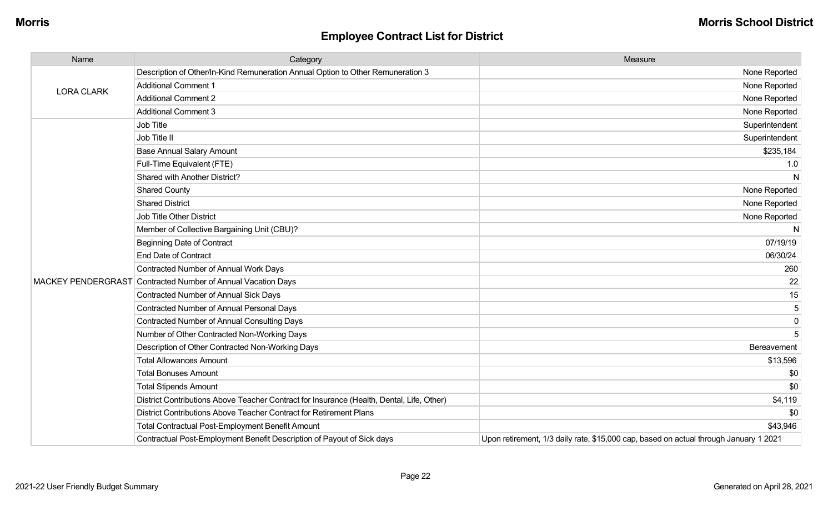| Name                      | Category                                                                                  | Measure                                                                               |
|---------------------------|-------------------------------------------------------------------------------------------|---------------------------------------------------------------------------------------|
|                           | Description of Other/In-Kind Remuneration Annual Option to Other Remuneration 3           | None Reported                                                                         |
| <b>LORA CLARK</b>         | <b>Additional Comment 1</b>                                                               | None Reported                                                                         |
|                           | <b>Additional Comment 2</b>                                                               | None Reported                                                                         |
|                           | <b>Additional Comment 3</b>                                                               | None Reported                                                                         |
|                           | Job Title                                                                                 | Superintendent                                                                        |
|                           | Job Title II                                                                              | Superintendent                                                                        |
|                           | <b>Base Annual Salary Amount</b>                                                          | \$235,184                                                                             |
|                           | Full-Time Equivalent (FTE)                                                                | 1.0                                                                                   |
|                           | Shared with Another District?                                                             | N                                                                                     |
|                           | <b>Shared County</b>                                                                      | None Reported                                                                         |
|                           | <b>Shared District</b>                                                                    | None Reported                                                                         |
|                           | Job Title Other District                                                                  | None Reported                                                                         |
|                           | Member of Collective Bargaining Unit (CBU)?                                               | $\mathsf{N}$                                                                          |
|                           | <b>Beginning Date of Contract</b>                                                         | 07/19/19                                                                              |
|                           | <b>End Date of Contract</b>                                                               | 06/30/24                                                                              |
|                           | <b>Contracted Number of Annual Work Days</b>                                              | 260                                                                                   |
| <b>MACKEY PENDERGRAST</b> | Contracted Number of Annual Vacation Days                                                 | 22                                                                                    |
|                           | <b>Contracted Number of Annual Sick Days</b>                                              | 15                                                                                    |
|                           | <b>Contracted Number of Annual Personal Days</b>                                          | 5                                                                                     |
|                           | <b>Contracted Number of Annual Consulting Days</b>                                        | 0                                                                                     |
|                           | Number of Other Contracted Non-Working Days                                               | 5                                                                                     |
|                           | Description of Other Contracted Non-Working Days                                          | Bereavement                                                                           |
|                           | <b>Total Allowances Amount</b>                                                            | \$13,596                                                                              |
|                           | <b>Total Bonuses Amount</b>                                                               | \$0                                                                                   |
|                           | <b>Total Stipends Amount</b>                                                              | \$0                                                                                   |
|                           | District Contributions Above Teacher Contract for Insurance (Health, Dental, Life, Other) | \$4,119                                                                               |
|                           | District Contributions Above Teacher Contract for Retirement Plans                        | \$0                                                                                   |
|                           | <b>Total Contractual Post-Employment Benefit Amount</b>                                   | \$43,946                                                                              |
|                           | Contractual Post-Employment Benefit Description of Payout of Sick days                    | Upon retirement, 1/3 daily rate, \$15,000 cap, based on actual through January 1 2021 |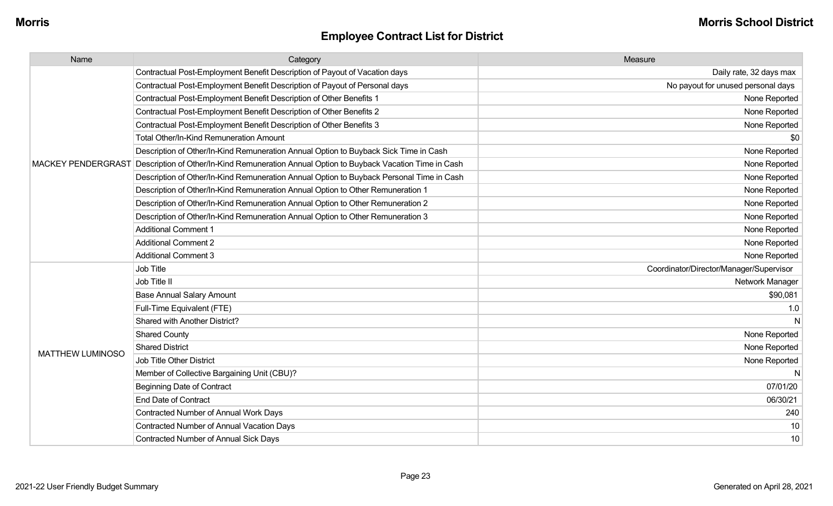| Name                      | Category                                                                                 | Measure                                 |
|---------------------------|------------------------------------------------------------------------------------------|-----------------------------------------|
|                           | Contractual Post-Employment Benefit Description of Payout of Vacation days               | Daily rate, 32 days max                 |
|                           | Contractual Post-Employment Benefit Description of Payout of Personal days               | No payout for unused personal days      |
|                           | Contractual Post-Employment Benefit Description of Other Benefits 1                      | None Reported                           |
|                           | Contractual Post-Employment Benefit Description of Other Benefits 2                      | None Reported                           |
|                           | Contractual Post-Employment Benefit Description of Other Benefits 3                      | None Reported                           |
|                           | <b>Total Other/In-Kind Remuneration Amount</b>                                           | \$0                                     |
|                           | Description of Other/In-Kind Remuneration Annual Option to Buyback Sick Time in Cash     | None Reported                           |
| <b>MACKEY PENDERGRAST</b> | Description of Other/In-Kind Remuneration Annual Option to Buyback Vacation Time in Cash | None Reported                           |
|                           | Description of Other/In-Kind Remuneration Annual Option to Buyback Personal Time in Cash | None Reported                           |
|                           | Description of Other/In-Kind Remuneration Annual Option to Other Remuneration 1          | None Reported                           |
|                           | Description of Other/In-Kind Remuneration Annual Option to Other Remuneration 2          | None Reported                           |
|                           | Description of Other/In-Kind Remuneration Annual Option to Other Remuneration 3          | None Reported                           |
|                           | <b>Additional Comment 1</b>                                                              | None Reported                           |
|                           | <b>Additional Comment 2</b>                                                              | None Reported                           |
|                           | <b>Additional Comment 3</b>                                                              | None Reported                           |
|                           | Job Title                                                                                | Coordinator/Director/Manager/Supervisor |
|                           | Job Title II                                                                             | Network Manager                         |
|                           | <b>Base Annual Salary Amount</b>                                                         | \$90,081                                |
|                           | Full-Time Equivalent (FTE)                                                               | 1.0                                     |
|                           | Shared with Another District?                                                            | N                                       |
|                           | <b>Shared County</b>                                                                     | None Reported                           |
| <b>MATTHEW LUMINOSO</b>   | <b>Shared District</b>                                                                   | None Reported                           |
|                           | <b>Job Title Other District</b>                                                          | None Reported                           |
|                           | Member of Collective Bargaining Unit (CBU)?                                              | N                                       |
|                           | <b>Beginning Date of Contract</b>                                                        | 07/01/20                                |
|                           | <b>End Date of Contract</b>                                                              | 06/30/21                                |
|                           | Contracted Number of Annual Work Days                                                    | 240                                     |
|                           | Contracted Number of Annual Vacation Days                                                | 10                                      |
|                           | <b>Contracted Number of Annual Sick Days</b>                                             | 10                                      |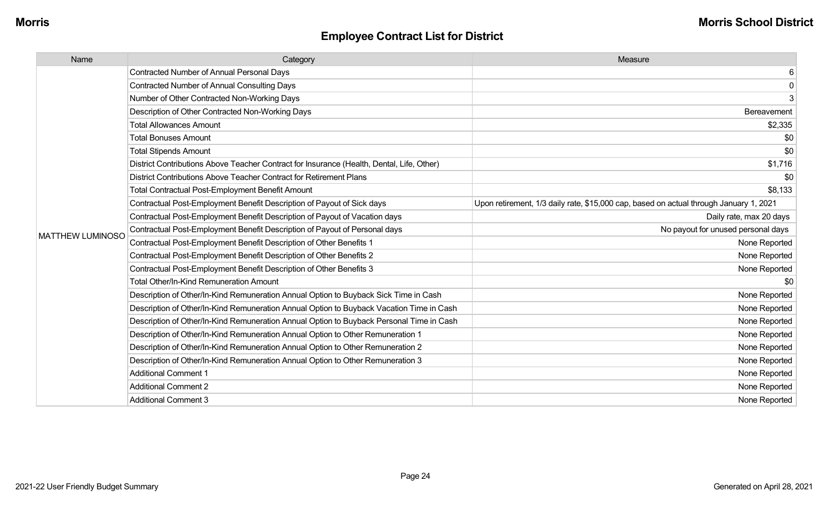| Name                    | Category                                                                                  | Measure                                                                                |
|-------------------------|-------------------------------------------------------------------------------------------|----------------------------------------------------------------------------------------|
|                         | <b>Contracted Number of Annual Personal Days</b>                                          | 6                                                                                      |
|                         | <b>Contracted Number of Annual Consulting Days</b>                                        | $\mathbf 0$                                                                            |
|                         | Number of Other Contracted Non-Working Days                                               | 3                                                                                      |
|                         | Description of Other Contracted Non-Working Days                                          | Bereavement                                                                            |
|                         | <b>Total Allowances Amount</b>                                                            | \$2,335                                                                                |
|                         | <b>Total Bonuses Amount</b>                                                               | \$0                                                                                    |
|                         | <b>Total Stipends Amount</b>                                                              | \$0                                                                                    |
|                         | District Contributions Above Teacher Contract for Insurance (Health, Dental, Life, Other) | \$1,716                                                                                |
|                         | District Contributions Above Teacher Contract for Retirement Plans                        | \$0                                                                                    |
|                         | <b>Total Contractual Post-Employment Benefit Amount</b>                                   | \$8,133                                                                                |
|                         | Contractual Post-Employment Benefit Description of Payout of Sick days                    | Upon retirement, 1/3 daily rate, \$15,000 cap, based on actual through January 1, 2021 |
|                         | Contractual Post-Employment Benefit Description of Payout of Vacation days                | Daily rate, max 20 days                                                                |
| <b>MATTHEW LUMINOSO</b> | Contractual Post-Employment Benefit Description of Payout of Personal days                | No payout for unused personal days                                                     |
|                         | Contractual Post-Employment Benefit Description of Other Benefits 1                       | None Reported                                                                          |
|                         | Contractual Post-Employment Benefit Description of Other Benefits 2                       | None Reported                                                                          |
|                         | Contractual Post-Employment Benefit Description of Other Benefits 3                       | None Reported                                                                          |
|                         | <b>Total Other/In-Kind Remuneration Amount</b>                                            | \$0                                                                                    |
|                         | Description of Other/In-Kind Remuneration Annual Option to Buyback Sick Time in Cash      | None Reported                                                                          |
|                         | Description of Other/In-Kind Remuneration Annual Option to Buyback Vacation Time in Cash  | None Reported                                                                          |
|                         | Description of Other/In-Kind Remuneration Annual Option to Buyback Personal Time in Cash  | None Reported                                                                          |
|                         | Description of Other/In-Kind Remuneration Annual Option to Other Remuneration 1           | None Reported                                                                          |
|                         | Description of Other/In-Kind Remuneration Annual Option to Other Remuneration 2           | None Reported                                                                          |
|                         | Description of Other/In-Kind Remuneration Annual Option to Other Remuneration 3           | None Reported                                                                          |
|                         | <b>Additional Comment 1</b>                                                               | None Reported                                                                          |
|                         | <b>Additional Comment 2</b>                                                               | None Reported                                                                          |
|                         | <b>Additional Comment 3</b>                                                               | None Reported                                                                          |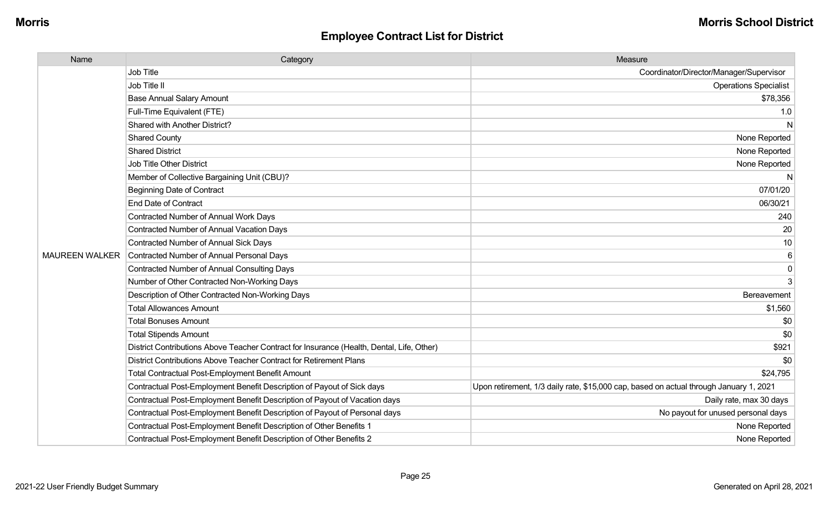| Name                  | Category                                                                                  | Measure                                                                                |
|-----------------------|-------------------------------------------------------------------------------------------|----------------------------------------------------------------------------------------|
|                       | Job Title                                                                                 | Coordinator/Director/Manager/Supervisor                                                |
|                       | Job Title II                                                                              | <b>Operations Specialist</b>                                                           |
|                       | <b>Base Annual Salary Amount</b>                                                          | \$78,356                                                                               |
|                       | Full-Time Equivalent (FTE)                                                                | 1.0                                                                                    |
|                       | Shared with Another District?                                                             | N                                                                                      |
|                       | <b>Shared County</b>                                                                      | None Reported                                                                          |
|                       | <b>Shared District</b>                                                                    | None Reported                                                                          |
|                       | Job Title Other District                                                                  | None Reported                                                                          |
|                       | Member of Collective Bargaining Unit (CBU)?                                               | N                                                                                      |
|                       | <b>Beginning Date of Contract</b>                                                         | 07/01/20                                                                               |
|                       | <b>End Date of Contract</b>                                                               | 06/30/21                                                                               |
|                       | Contracted Number of Annual Work Days                                                     | 240                                                                                    |
|                       | Contracted Number of Annual Vacation Days                                                 | 20                                                                                     |
|                       | Contracted Number of Annual Sick Days                                                     | 10                                                                                     |
| <b>MAUREEN WALKER</b> | Contracted Number of Annual Personal Days                                                 | 6                                                                                      |
|                       | <b>Contracted Number of Annual Consulting Days</b>                                        | 0                                                                                      |
|                       | Number of Other Contracted Non-Working Days                                               | 3                                                                                      |
|                       | Description of Other Contracted Non-Working Days                                          | Bereavement                                                                            |
|                       | <b>Total Allowances Amount</b>                                                            | \$1,560                                                                                |
|                       | <b>Total Bonuses Amount</b>                                                               | \$0                                                                                    |
|                       | <b>Total Stipends Amount</b>                                                              | \$0                                                                                    |
|                       | District Contributions Above Teacher Contract for Insurance (Health, Dental, Life, Other) | \$921                                                                                  |
|                       | District Contributions Above Teacher Contract for Retirement Plans                        | \$0                                                                                    |
|                       | Total Contractual Post-Employment Benefit Amount                                          | \$24,795                                                                               |
|                       | Contractual Post-Employment Benefit Description of Payout of Sick days                    | Upon retirement, 1/3 daily rate, \$15,000 cap, based on actual through January 1, 2021 |
|                       | Contractual Post-Employment Benefit Description of Payout of Vacation days                | Daily rate, max 30 days                                                                |
|                       | Contractual Post-Employment Benefit Description of Payout of Personal days                | No payout for unused personal days                                                     |
|                       | Contractual Post-Employment Benefit Description of Other Benefits 1                       | None Reported                                                                          |
|                       | Contractual Post-Employment Benefit Description of Other Benefits 2                       | None Reported                                                                          |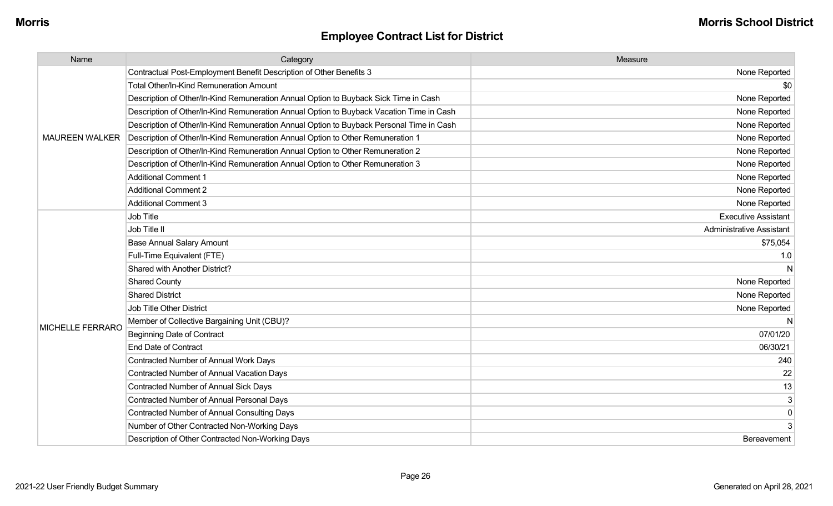| <b>Employee Contract List for District</b> |  |  |  |
|--------------------------------------------|--|--|--|
|--------------------------------------------|--|--|--|

| Name                    | Category                                                                                 | Measure                         |
|-------------------------|------------------------------------------------------------------------------------------|---------------------------------|
|                         | Contractual Post-Employment Benefit Description of Other Benefits 3                      | None Reported                   |
|                         | <b>Total Other/In-Kind Remuneration Amount</b>                                           | \$0                             |
|                         | Description of Other/In-Kind Remuneration Annual Option to Buyback Sick Time in Cash     | None Reported                   |
|                         | Description of Other/In-Kind Remuneration Annual Option to Buyback Vacation Time in Cash | None Reported                   |
|                         | Description of Other/In-Kind Remuneration Annual Option to Buyback Personal Time in Cash | None Reported                   |
| <b>MAUREEN WALKER</b>   | Description of Other/In-Kind Remuneration Annual Option to Other Remuneration 1          | None Reported                   |
|                         | Description of Other/In-Kind Remuneration Annual Option to Other Remuneration 2          | None Reported                   |
|                         | Description of Other/In-Kind Remuneration Annual Option to Other Remuneration 3          | None Reported                   |
|                         | <b>Additional Comment 1</b>                                                              | None Reported                   |
|                         | <b>Additional Comment 2</b>                                                              | None Reported                   |
|                         | <b>Additional Comment 3</b>                                                              | None Reported                   |
|                         | Job Title                                                                                | <b>Executive Assistant</b>      |
|                         | Job Title II                                                                             | <b>Administrative Assistant</b> |
|                         | <b>Base Annual Salary Amount</b>                                                         | \$75,054                        |
|                         | Full-Time Equivalent (FTE)                                                               | 1.0                             |
|                         | Shared with Another District?                                                            |                                 |
|                         | <b>Shared County</b>                                                                     | None Reported                   |
|                         | <b>Shared District</b>                                                                   | None Reported                   |
|                         | <b>Job Title Other District</b>                                                          | None Reported                   |
|                         | Member of Collective Bargaining Unit (CBU)?                                              |                                 |
| <b>MICHELLE FERRARO</b> | <b>Beginning Date of Contract</b>                                                        | 07/01/20                        |
|                         | <b>End Date of Contract</b>                                                              | 06/30/21                        |
|                         | Contracted Number of Annual Work Days                                                    | 240                             |
|                         | <b>Contracted Number of Annual Vacation Days</b>                                         | 22                              |
|                         | <b>Contracted Number of Annual Sick Days</b>                                             | 13                              |
|                         | Contracted Number of Annual Personal Days                                                | 3                               |
|                         | <b>Contracted Number of Annual Consulting Days</b>                                       | $\boldsymbol{0}$                |
|                         | Number of Other Contracted Non-Working Days                                              |                                 |
|                         | Description of Other Contracted Non-Working Days                                         | Bereavement                     |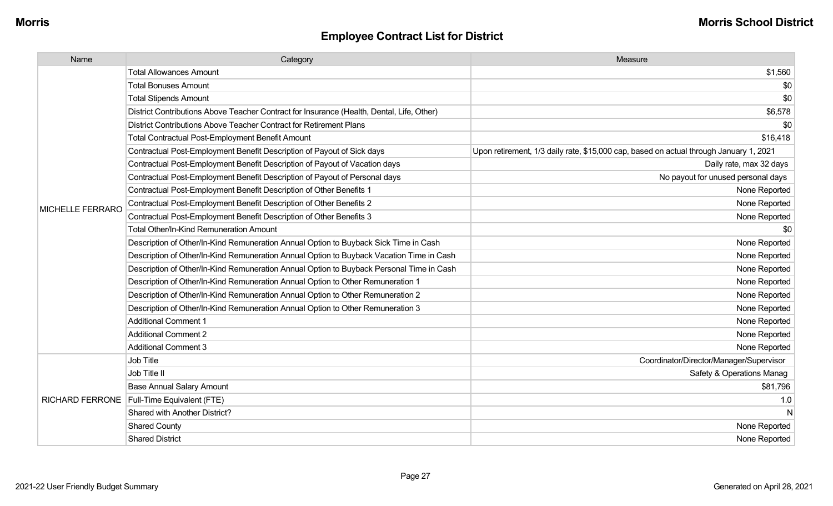| Name                    | Category                                                                                  | Measure                                                                                |
|-------------------------|-------------------------------------------------------------------------------------------|----------------------------------------------------------------------------------------|
|                         | <b>Total Allowances Amount</b>                                                            | \$1,560                                                                                |
|                         | <b>Total Bonuses Amount</b>                                                               | \$0                                                                                    |
|                         | <b>Total Stipends Amount</b>                                                              | \$0                                                                                    |
|                         | District Contributions Above Teacher Contract for Insurance (Health, Dental, Life, Other) | \$6,578                                                                                |
|                         | District Contributions Above Teacher Contract for Retirement Plans                        | \$0                                                                                    |
|                         | Total Contractual Post-Employment Benefit Amount                                          | \$16,418                                                                               |
|                         | Contractual Post-Employment Benefit Description of Payout of Sick days                    | Upon retirement, 1/3 daily rate, \$15,000 cap, based on actual through January 1, 2021 |
|                         | Contractual Post-Employment Benefit Description of Payout of Vacation days                | Daily rate, max 32 days                                                                |
|                         | Contractual Post-Employment Benefit Description of Payout of Personal days                | No payout for unused personal days                                                     |
|                         | Contractual Post-Employment Benefit Description of Other Benefits 1                       | None Reported                                                                          |
| <b>MICHELLE FERRARO</b> | Contractual Post-Employment Benefit Description of Other Benefits 2                       | None Reported                                                                          |
|                         | Contractual Post-Employment Benefit Description of Other Benefits 3                       | None Reported                                                                          |
|                         | <b>Total Other/In-Kind Remuneration Amount</b>                                            | \$0                                                                                    |
|                         | Description of Other/In-Kind Remuneration Annual Option to Buyback Sick Time in Cash      | None Reported                                                                          |
|                         | Description of Other/In-Kind Remuneration Annual Option to Buyback Vacation Time in Cash  | None Reported                                                                          |
|                         | Description of Other/In-Kind Remuneration Annual Option to Buyback Personal Time in Cash  | None Reported                                                                          |
|                         | Description of Other/In-Kind Remuneration Annual Option to Other Remuneration 1           | None Reported                                                                          |
|                         | Description of Other/In-Kind Remuneration Annual Option to Other Remuneration 2           | None Reported                                                                          |
|                         | Description of Other/In-Kind Remuneration Annual Option to Other Remuneration 3           | None Reported                                                                          |
|                         | <b>Additional Comment 1</b>                                                               | None Reported                                                                          |
|                         | <b>Additional Comment 2</b>                                                               | None Reported                                                                          |
|                         | <b>Additional Comment 3</b>                                                               | None Reported                                                                          |
|                         | Job Title                                                                                 | Coordinator/Director/Manager/Supervisor                                                |
|                         | Job Title II                                                                              | Safety & Operations Manag                                                              |
|                         | <b>Base Annual Salary Amount</b>                                                          | \$81,796                                                                               |
|                         | RICHARD FERRONE   Full-Time Equivalent (FTE)                                              | 1.0                                                                                    |
|                         | Shared with Another District?                                                             | N                                                                                      |
|                         | <b>Shared County</b>                                                                      | None Reported                                                                          |
|                         | <b>Shared District</b>                                                                    | None Reported                                                                          |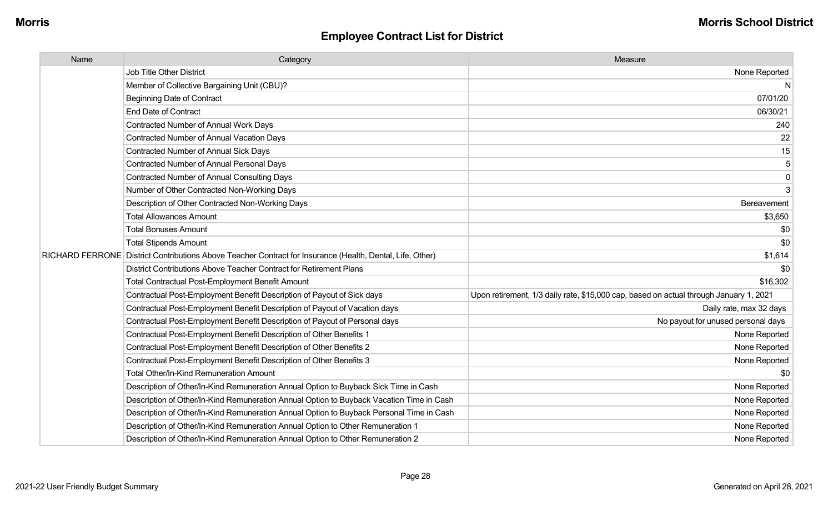| Name | Category                                                                                                  | Measure                                                                                |
|------|-----------------------------------------------------------------------------------------------------------|----------------------------------------------------------------------------------------|
|      | Job Title Other District                                                                                  | None Reported                                                                          |
|      | Member of Collective Bargaining Unit (CBU)?                                                               | N                                                                                      |
|      | <b>Beginning Date of Contract</b>                                                                         | 07/01/20                                                                               |
|      | <b>End Date of Contract</b>                                                                               | 06/30/21                                                                               |
|      | Contracted Number of Annual Work Days                                                                     | 240                                                                                    |
|      | <b>Contracted Number of Annual Vacation Days</b>                                                          | 22                                                                                     |
|      | <b>Contracted Number of Annual Sick Days</b>                                                              | 15                                                                                     |
|      | <b>Contracted Number of Annual Personal Days</b>                                                          | 5                                                                                      |
|      | <b>Contracted Number of Annual Consulting Days</b>                                                        | $\mathbf 0$                                                                            |
|      | Number of Other Contracted Non-Working Days                                                               | 3                                                                                      |
|      | Description of Other Contracted Non-Working Days                                                          | Bereavement                                                                            |
|      | <b>Total Allowances Amount</b>                                                                            | \$3,650                                                                                |
|      | <b>Total Bonuses Amount</b>                                                                               | \$0                                                                                    |
|      | <b>Total Stipends Amount</b>                                                                              | \$0                                                                                    |
|      | RICHARD FERRONE District Contributions Above Teacher Contract for Insurance (Health, Dental, Life, Other) | \$1,614                                                                                |
|      | District Contributions Above Teacher Contract for Retirement Plans                                        | -\$0                                                                                   |
|      | <b>Total Contractual Post-Employment Benefit Amount</b>                                                   | \$16,302                                                                               |
|      | Contractual Post-Employment Benefit Description of Payout of Sick days                                    | Upon retirement, 1/3 daily rate, \$15,000 cap, based on actual through January 1, 2021 |
|      | Contractual Post-Employment Benefit Description of Payout of Vacation days                                | Daily rate, max 32 days                                                                |
|      | Contractual Post-Employment Benefit Description of Payout of Personal days                                | No payout for unused personal days                                                     |
|      | Contractual Post-Employment Benefit Description of Other Benefits 1                                       | None Reported                                                                          |
|      | Contractual Post-Employment Benefit Description of Other Benefits 2                                       | None Reported                                                                          |
|      | Contractual Post-Employment Benefit Description of Other Benefits 3                                       | None Reported                                                                          |
|      | Total Other/In-Kind Remuneration Amount                                                                   | -90                                                                                    |
|      | Description of Other/In-Kind Remuneration Annual Option to Buyback Sick Time in Cash                      | None Reported                                                                          |
|      | Description of Other/In-Kind Remuneration Annual Option to Buyback Vacation Time in Cash                  | None Reported                                                                          |
|      | Description of Other/In-Kind Remuneration Annual Option to Buyback Personal Time in Cash                  | None Reported                                                                          |
|      | Description of Other/In-Kind Remuneration Annual Option to Other Remuneration 1                           | None Reported                                                                          |
|      | Description of Other/In-Kind Remuneration Annual Option to Other Remuneration 2                           | None Reported                                                                          |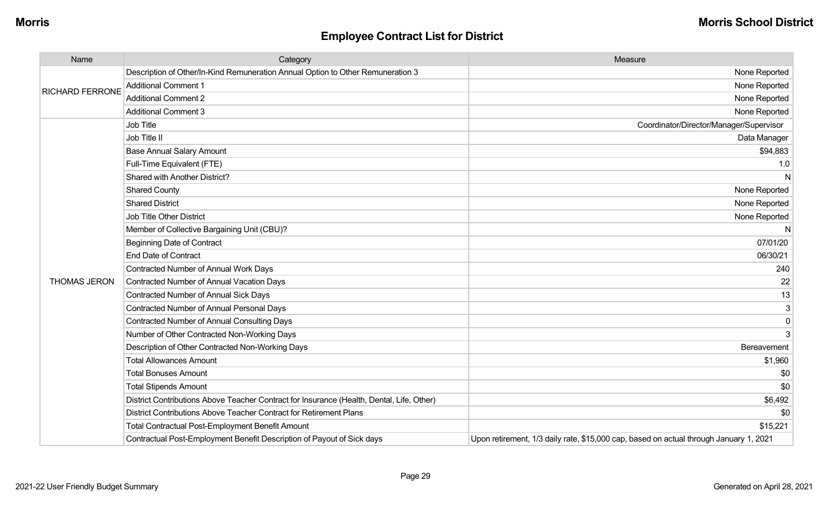| Name                   | Category                                                                                  | Measure                                                                                |
|------------------------|-------------------------------------------------------------------------------------------|----------------------------------------------------------------------------------------|
| <b>RICHARD FERRONE</b> | Description of Other/In-Kind Remuneration Annual Option to Other Remuneration 3           | None Reported                                                                          |
|                        | <b>Additional Comment 1</b>                                                               | None Reported                                                                          |
|                        | <b>Additional Comment 2</b>                                                               | None Reported                                                                          |
|                        | <b>Additional Comment 3</b>                                                               | None Reported                                                                          |
|                        | Job Title                                                                                 | Coordinator/Director/Manager/Supervisor                                                |
|                        | Job Title II                                                                              | Data Manager                                                                           |
|                        | <b>Base Annual Salary Amount</b>                                                          | \$94,883                                                                               |
|                        | Full-Time Equivalent (FTE)                                                                | 1.0                                                                                    |
|                        | Shared with Another District?                                                             | N                                                                                      |
|                        | <b>Shared County</b>                                                                      | None Reported                                                                          |
|                        | <b>Shared District</b>                                                                    | None Reported                                                                          |
|                        | Job Title Other District                                                                  | None Reported                                                                          |
|                        | Member of Collective Bargaining Unit (CBU)?                                               | N                                                                                      |
|                        | <b>Beginning Date of Contract</b>                                                         | 07/01/20                                                                               |
|                        | <b>End Date of Contract</b>                                                               | 06/30/21                                                                               |
|                        | Contracted Number of Annual Work Days                                                     | 240                                                                                    |
| <b>THOMAS JERON</b>    | <b>Contracted Number of Annual Vacation Days</b>                                          | 22                                                                                     |
|                        | Contracted Number of Annual Sick Days                                                     | 13                                                                                     |
|                        | <b>Contracted Number of Annual Personal Days</b>                                          | $\sqrt{3}$                                                                             |
|                        | <b>Contracted Number of Annual Consulting Days</b>                                        | 0                                                                                      |
|                        | Number of Other Contracted Non-Working Days                                               | 3                                                                                      |
|                        | Description of Other Contracted Non-Working Days                                          | Bereavement                                                                            |
|                        | <b>Total Allowances Amount</b>                                                            | \$1,960                                                                                |
|                        | <b>Total Bonuses Amount</b>                                                               | \$0                                                                                    |
|                        | <b>Total Stipends Amount</b>                                                              | \$0                                                                                    |
|                        | District Contributions Above Teacher Contract for Insurance (Health, Dental, Life, Other) | \$6,492                                                                                |
|                        | District Contributions Above Teacher Contract for Retirement Plans                        | \$0                                                                                    |
|                        | <b>Total Contractual Post-Employment Benefit Amount</b>                                   | \$15,221                                                                               |
|                        | Contractual Post-Employment Benefit Description of Payout of Sick days                    | Upon retirement, 1/3 daily rate, \$15,000 cap, based on actual through January 1, 2021 |